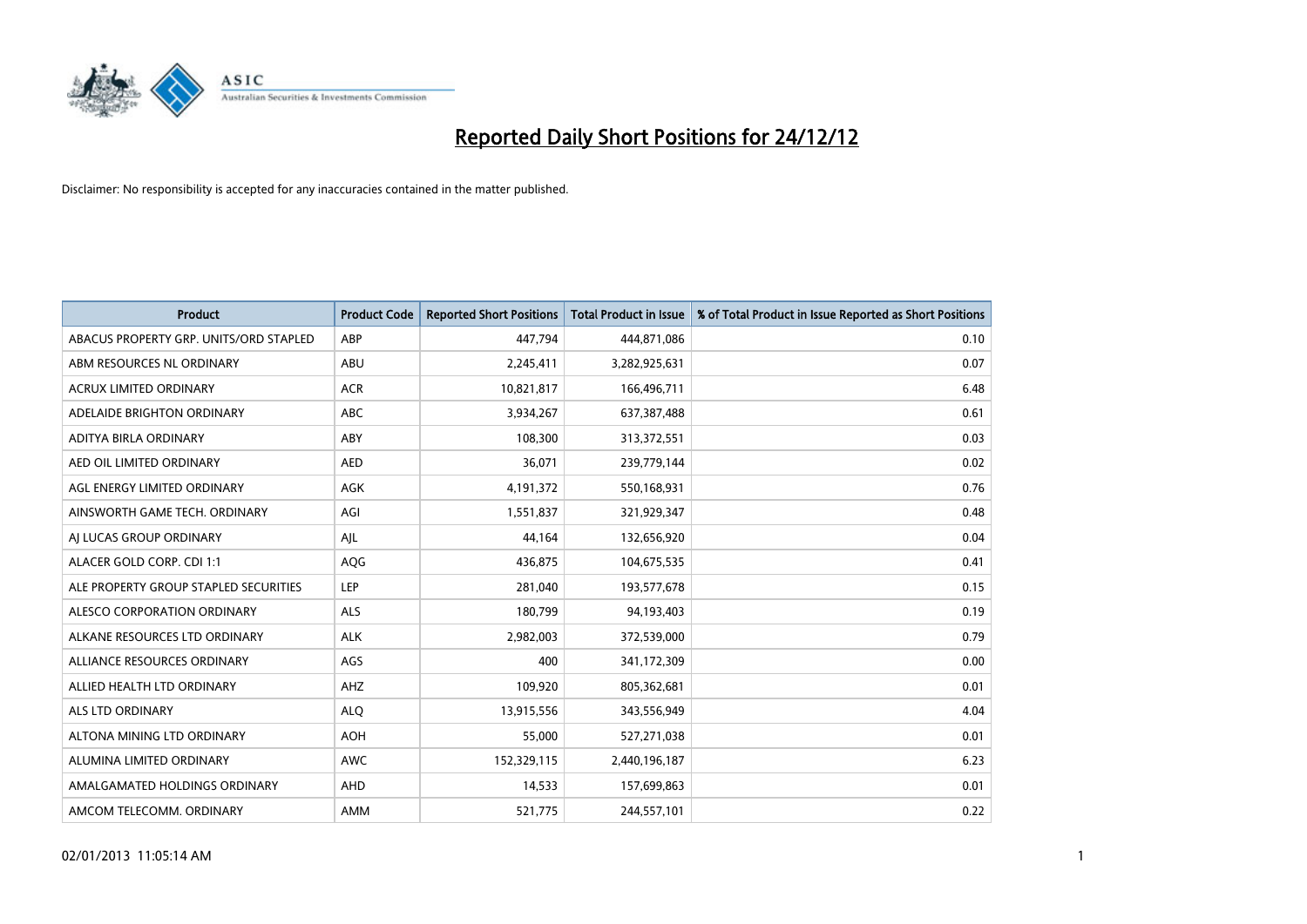

| <b>Product</b>                         | <b>Product Code</b> | <b>Reported Short Positions</b> | <b>Total Product in Issue</b> | % of Total Product in Issue Reported as Short Positions |
|----------------------------------------|---------------------|---------------------------------|-------------------------------|---------------------------------------------------------|
| ABACUS PROPERTY GRP. UNITS/ORD STAPLED | ABP                 | 447,794                         | 444,871,086                   | 0.10                                                    |
| ABM RESOURCES NL ORDINARY              | <b>ABU</b>          | 2,245,411                       | 3,282,925,631                 | 0.07                                                    |
| <b>ACRUX LIMITED ORDINARY</b>          | <b>ACR</b>          | 10,821,817                      | 166,496,711                   | 6.48                                                    |
| ADELAIDE BRIGHTON ORDINARY             | <b>ABC</b>          | 3,934,267                       | 637,387,488                   | 0.61                                                    |
| ADITYA BIRLA ORDINARY                  | ABY                 | 108,300                         | 313,372,551                   | 0.03                                                    |
| AED OIL LIMITED ORDINARY               | <b>AED</b>          | 36,071                          | 239,779,144                   | 0.02                                                    |
| AGL ENERGY LIMITED ORDINARY            | <b>AGK</b>          | 4,191,372                       | 550,168,931                   | 0.76                                                    |
| AINSWORTH GAME TECH. ORDINARY          | AGI                 | 1,551,837                       | 321,929,347                   | 0.48                                                    |
| AI LUCAS GROUP ORDINARY                | AJL                 | 44,164                          | 132,656,920                   | 0.04                                                    |
| ALACER GOLD CORP. CDI 1:1              | AQG                 | 436,875                         | 104,675,535                   | 0.41                                                    |
| ALE PROPERTY GROUP STAPLED SECURITIES  | LEP                 | 281,040                         | 193,577,678                   | 0.15                                                    |
| ALESCO CORPORATION ORDINARY            | <b>ALS</b>          | 180,799                         | 94,193,403                    | 0.19                                                    |
| ALKANE RESOURCES LTD ORDINARY          | <b>ALK</b>          | 2,982,003                       | 372,539,000                   | 0.79                                                    |
| ALLIANCE RESOURCES ORDINARY            | AGS                 | 400                             | 341,172,309                   | 0.00                                                    |
| ALLIED HEALTH LTD ORDINARY             | AHZ                 | 109,920                         | 805,362,681                   | 0.01                                                    |
| ALS LTD ORDINARY                       | <b>ALO</b>          | 13,915,556                      | 343,556,949                   | 4.04                                                    |
| ALTONA MINING LTD ORDINARY             | <b>AOH</b>          | 55,000                          | 527,271,038                   | 0.01                                                    |
| ALUMINA LIMITED ORDINARY               | <b>AWC</b>          | 152,329,115                     | 2,440,196,187                 | 6.23                                                    |
| AMALGAMATED HOLDINGS ORDINARY          | <b>AHD</b>          | 14,533                          | 157,699,863                   | 0.01                                                    |
| AMCOM TELECOMM. ORDINARY               | <b>AMM</b>          | 521,775                         | 244,557,101                   | 0.22                                                    |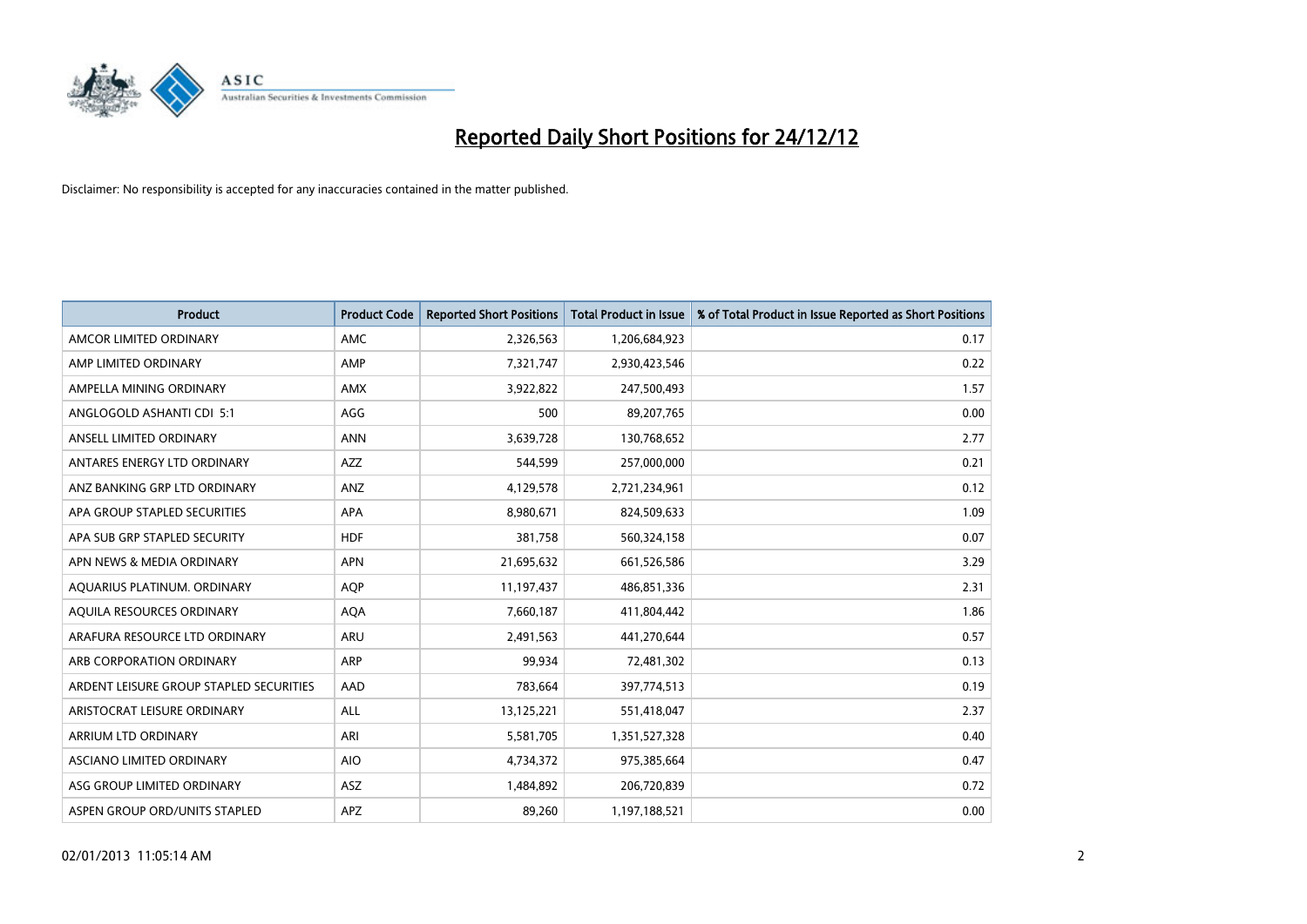

| <b>Product</b>                          | <b>Product Code</b> | <b>Reported Short Positions</b> | <b>Total Product in Issue</b> | % of Total Product in Issue Reported as Short Positions |
|-----------------------------------------|---------------------|---------------------------------|-------------------------------|---------------------------------------------------------|
| AMCOR LIMITED ORDINARY                  | <b>AMC</b>          | 2,326,563                       | 1,206,684,923                 | 0.17                                                    |
| AMP LIMITED ORDINARY                    | AMP                 | 7,321,747                       | 2,930,423,546                 | 0.22                                                    |
| AMPELLA MINING ORDINARY                 | <b>AMX</b>          | 3,922,822                       | 247,500,493                   | 1.57                                                    |
| ANGLOGOLD ASHANTI CDI 5:1               | AGG                 | 500                             | 89,207,765                    | 0.00                                                    |
| ANSELL LIMITED ORDINARY                 | <b>ANN</b>          | 3,639,728                       | 130,768,652                   | 2.77                                                    |
| ANTARES ENERGY LTD ORDINARY             | <b>AZZ</b>          | 544,599                         | 257,000,000                   | 0.21                                                    |
| ANZ BANKING GRP LTD ORDINARY            | ANZ                 | 4,129,578                       | 2,721,234,961                 | 0.12                                                    |
| APA GROUP STAPLED SECURITIES            | <b>APA</b>          | 8,980,671                       | 824,509,633                   | 1.09                                                    |
| APA SUB GRP STAPLED SECURITY            | <b>HDF</b>          | 381,758                         | 560,324,158                   | 0.07                                                    |
| APN NEWS & MEDIA ORDINARY               | <b>APN</b>          | 21,695,632                      | 661,526,586                   | 3.29                                                    |
| AQUARIUS PLATINUM. ORDINARY             | <b>AOP</b>          | 11,197,437                      | 486,851,336                   | 2.31                                                    |
| AQUILA RESOURCES ORDINARY               | <b>AQA</b>          | 7,660,187                       | 411,804,442                   | 1.86                                                    |
| ARAFURA RESOURCE LTD ORDINARY           | <b>ARU</b>          | 2,491,563                       | 441,270,644                   | 0.57                                                    |
| ARB CORPORATION ORDINARY                | <b>ARP</b>          | 99,934                          | 72,481,302                    | 0.13                                                    |
| ARDENT LEISURE GROUP STAPLED SECURITIES | AAD                 | 783,664                         | 397,774,513                   | 0.19                                                    |
| ARISTOCRAT LEISURE ORDINARY             | <b>ALL</b>          | 13,125,221                      | 551,418,047                   | 2.37                                                    |
| ARRIUM LTD ORDINARY                     | ARI                 | 5,581,705                       | 1,351,527,328                 | 0.40                                                    |
| ASCIANO LIMITED ORDINARY                | <b>AIO</b>          | 4,734,372                       | 975,385,664                   | 0.47                                                    |
| ASG GROUP LIMITED ORDINARY              | <b>ASZ</b>          | 1,484,892                       | 206,720,839                   | 0.72                                                    |
| ASPEN GROUP ORD/UNITS STAPLED           | <b>APZ</b>          | 89.260                          | 1,197,188,521                 | 0.00                                                    |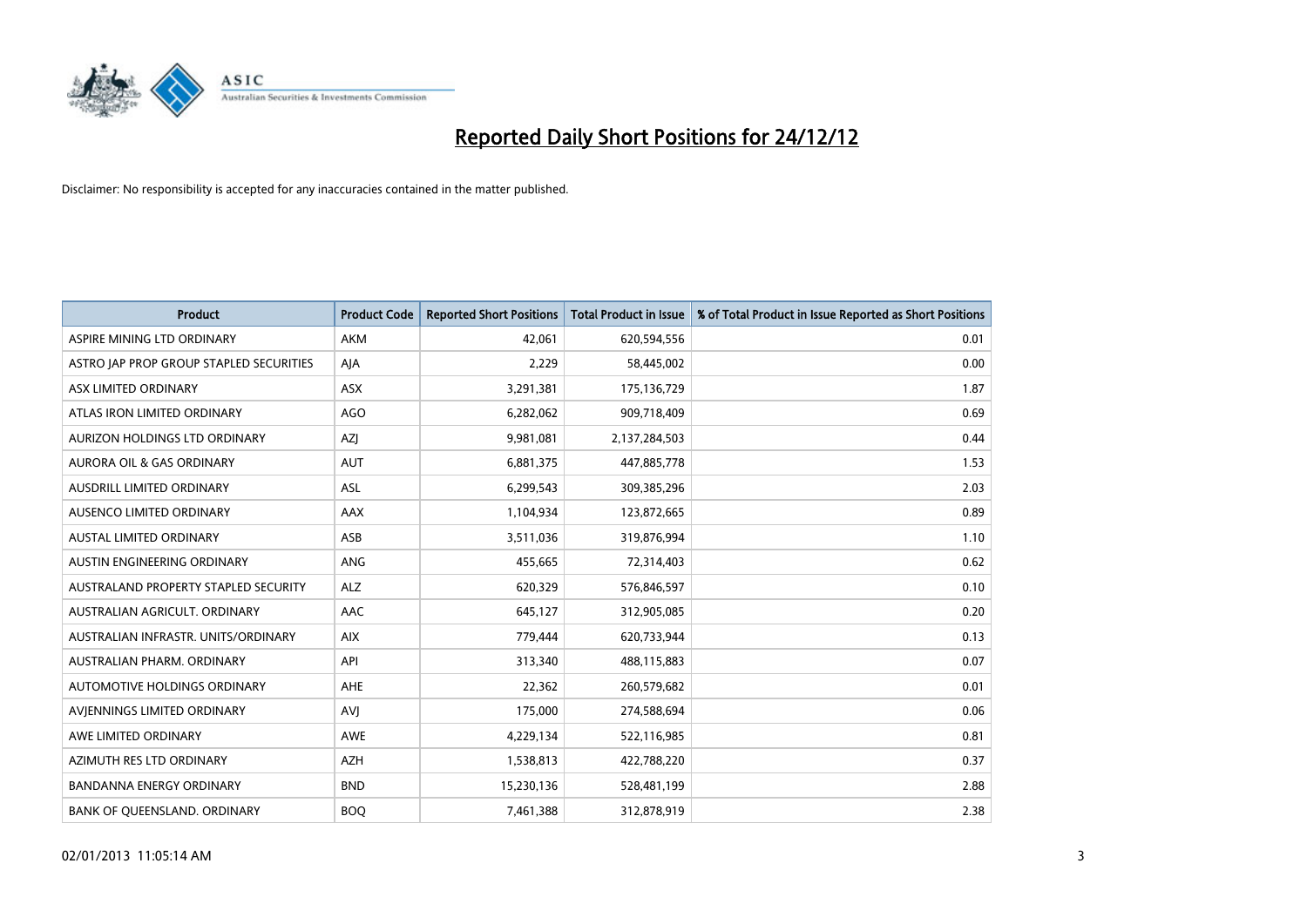

| <b>Product</b>                          | <b>Product Code</b> | <b>Reported Short Positions</b> | <b>Total Product in Issue</b> | % of Total Product in Issue Reported as Short Positions |
|-----------------------------------------|---------------------|---------------------------------|-------------------------------|---------------------------------------------------------|
| ASPIRE MINING LTD ORDINARY              | <b>AKM</b>          | 42,061                          | 620,594,556                   | 0.01                                                    |
| ASTRO JAP PROP GROUP STAPLED SECURITIES | AJA                 | 2,229                           | 58,445,002                    | 0.00                                                    |
| ASX LIMITED ORDINARY                    | <b>ASX</b>          | 3,291,381                       | 175,136,729                   | 1.87                                                    |
| ATLAS IRON LIMITED ORDINARY             | AGO                 | 6,282,062                       | 909,718,409                   | 0.69                                                    |
| AURIZON HOLDINGS LTD ORDINARY           | <b>AZI</b>          | 9,981,081                       | 2,137,284,503                 | 0.44                                                    |
| <b>AURORA OIL &amp; GAS ORDINARY</b>    | <b>AUT</b>          | 6,881,375                       | 447,885,778                   | 1.53                                                    |
| AUSDRILL LIMITED ORDINARY               | <b>ASL</b>          | 6,299,543                       | 309,385,296                   | 2.03                                                    |
| AUSENCO LIMITED ORDINARY                | AAX                 | 1,104,934                       | 123,872,665                   | 0.89                                                    |
| <b>AUSTAL LIMITED ORDINARY</b>          | ASB                 | 3,511,036                       | 319,876,994                   | 1.10                                                    |
| AUSTIN ENGINEERING ORDINARY             | ANG                 | 455,665                         | 72,314,403                    | 0.62                                                    |
| AUSTRALAND PROPERTY STAPLED SECURITY    | <b>ALZ</b>          | 620,329                         | 576,846,597                   | 0.10                                                    |
| AUSTRALIAN AGRICULT, ORDINARY           | AAC                 | 645,127                         | 312,905,085                   | 0.20                                                    |
| AUSTRALIAN INFRASTR. UNITS/ORDINARY     | <b>AIX</b>          | 779,444                         | 620,733,944                   | 0.13                                                    |
| AUSTRALIAN PHARM. ORDINARY              | API                 | 313,340                         | 488,115,883                   | 0.07                                                    |
| AUTOMOTIVE HOLDINGS ORDINARY            | <b>AHE</b>          | 22,362                          | 260,579,682                   | 0.01                                                    |
| AVIENNINGS LIMITED ORDINARY             | AVI                 | 175,000                         | 274,588,694                   | 0.06                                                    |
| AWE LIMITED ORDINARY                    | AWE                 | 4,229,134                       | 522,116,985                   | 0.81                                                    |
| AZIMUTH RES LTD ORDINARY                | <b>AZH</b>          | 1,538,813                       | 422,788,220                   | 0.37                                                    |
| BANDANNA ENERGY ORDINARY                | <b>BND</b>          | 15,230,136                      | 528,481,199                   | 2.88                                                    |
| BANK OF QUEENSLAND. ORDINARY            | <b>BOQ</b>          | 7,461,388                       | 312,878,919                   | 2.38                                                    |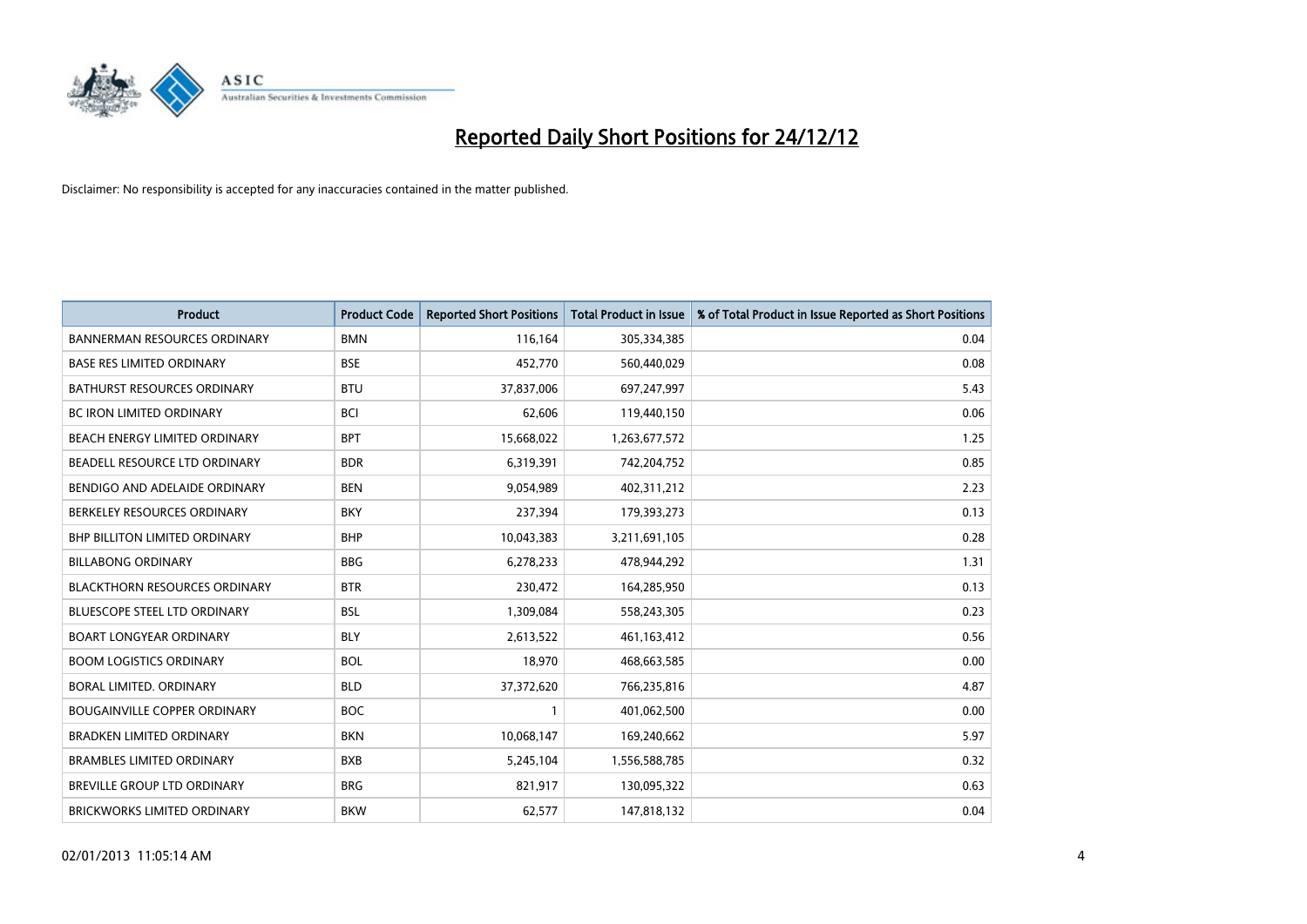

| <b>Product</b>                       | <b>Product Code</b> | <b>Reported Short Positions</b> | <b>Total Product in Issue</b> | % of Total Product in Issue Reported as Short Positions |
|--------------------------------------|---------------------|---------------------------------|-------------------------------|---------------------------------------------------------|
| <b>BANNERMAN RESOURCES ORDINARY</b>  | <b>BMN</b>          | 116,164                         | 305,334,385                   | 0.04                                                    |
| <b>BASE RES LIMITED ORDINARY</b>     | <b>BSE</b>          | 452,770                         | 560,440,029                   | 0.08                                                    |
| <b>BATHURST RESOURCES ORDINARY</b>   | <b>BTU</b>          | 37,837,006                      | 697,247,997                   | 5.43                                                    |
| <b>BC IRON LIMITED ORDINARY</b>      | <b>BCI</b>          | 62,606                          | 119,440,150                   | 0.06                                                    |
| BEACH ENERGY LIMITED ORDINARY        | <b>BPT</b>          | 15,668,022                      | 1,263,677,572                 | 1.25                                                    |
| BEADELL RESOURCE LTD ORDINARY        | <b>BDR</b>          | 6,319,391                       | 742,204,752                   | 0.85                                                    |
| BENDIGO AND ADELAIDE ORDINARY        | <b>BEN</b>          | 9,054,989                       | 402,311,212                   | 2.23                                                    |
| BERKELEY RESOURCES ORDINARY          | <b>BKY</b>          | 237,394                         | 179,393,273                   | 0.13                                                    |
| <b>BHP BILLITON LIMITED ORDINARY</b> | <b>BHP</b>          | 10,043,383                      | 3,211,691,105                 | 0.28                                                    |
| <b>BILLABONG ORDINARY</b>            | <b>BBG</b>          | 6,278,233                       | 478,944,292                   | 1.31                                                    |
| <b>BLACKTHORN RESOURCES ORDINARY</b> | <b>BTR</b>          | 230,472                         | 164,285,950                   | 0.13                                                    |
| <b>BLUESCOPE STEEL LTD ORDINARY</b>  | <b>BSL</b>          | 1,309,084                       | 558,243,305                   | 0.23                                                    |
| <b>BOART LONGYEAR ORDINARY</b>       | <b>BLY</b>          | 2,613,522                       | 461,163,412                   | 0.56                                                    |
| <b>BOOM LOGISTICS ORDINARY</b>       | <b>BOL</b>          | 18,970                          | 468,663,585                   | 0.00                                                    |
| BORAL LIMITED, ORDINARY              | <b>BLD</b>          | 37,372,620                      | 766,235,816                   | 4.87                                                    |
| <b>BOUGAINVILLE COPPER ORDINARY</b>  | <b>BOC</b>          |                                 | 401,062,500                   | 0.00                                                    |
| <b>BRADKEN LIMITED ORDINARY</b>      | <b>BKN</b>          | 10,068,147                      | 169,240,662                   | 5.97                                                    |
| <b>BRAMBLES LIMITED ORDINARY</b>     | <b>BXB</b>          | 5,245,104                       | 1,556,588,785                 | 0.32                                                    |
| <b>BREVILLE GROUP LTD ORDINARY</b>   | <b>BRG</b>          | 821,917                         | 130,095,322                   | 0.63                                                    |
| <b>BRICKWORKS LIMITED ORDINARY</b>   | <b>BKW</b>          | 62,577                          | 147,818,132                   | 0.04                                                    |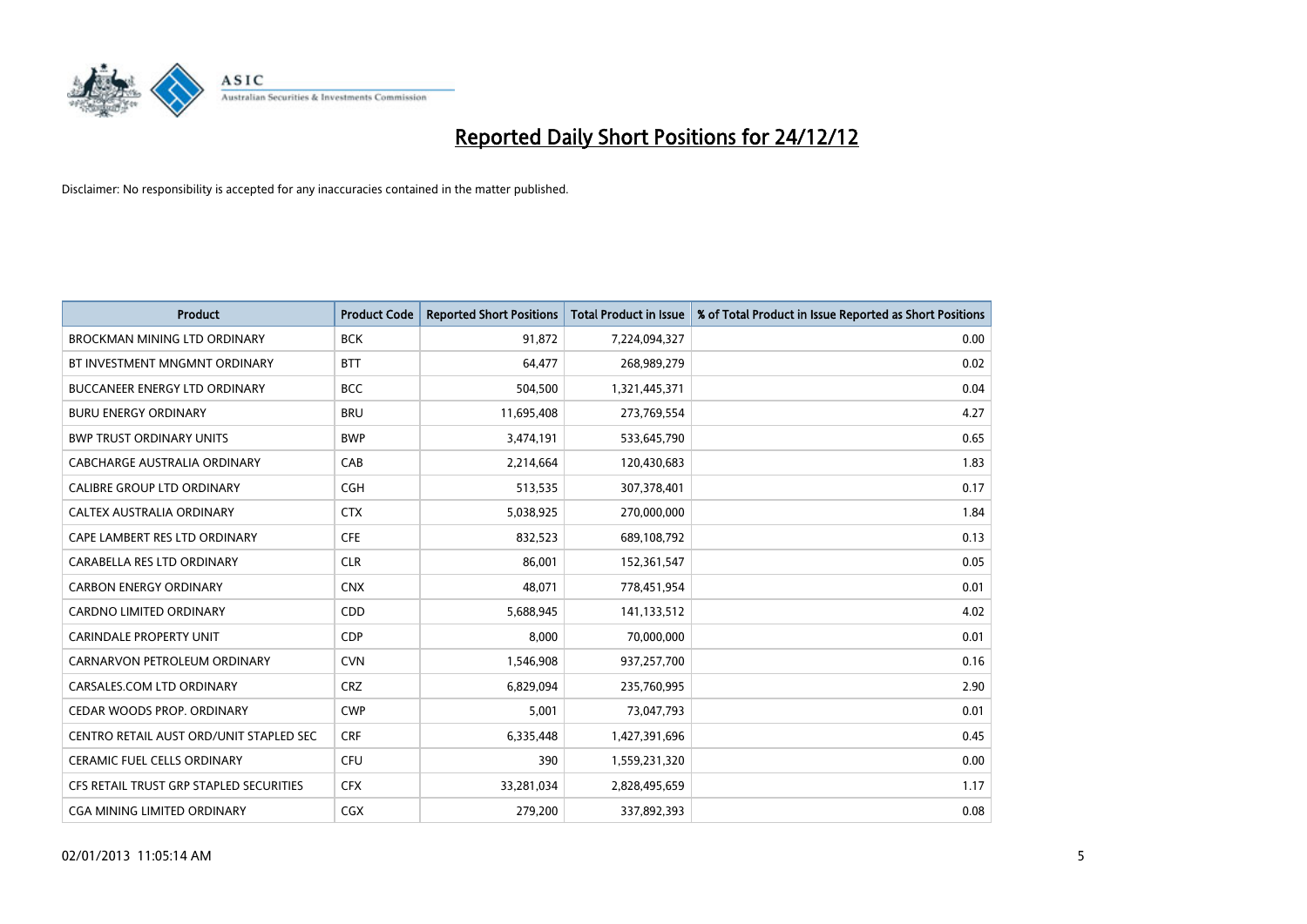

| <b>Product</b>                          | <b>Product Code</b> | <b>Reported Short Positions</b> | <b>Total Product in Issue</b> | % of Total Product in Issue Reported as Short Positions |
|-----------------------------------------|---------------------|---------------------------------|-------------------------------|---------------------------------------------------------|
| <b>BROCKMAN MINING LTD ORDINARY</b>     | <b>BCK</b>          | 91,872                          | 7,224,094,327                 | 0.00                                                    |
| BT INVESTMENT MNGMNT ORDINARY           | <b>BTT</b>          | 64,477                          | 268,989,279                   | 0.02                                                    |
| <b>BUCCANEER ENERGY LTD ORDINARY</b>    | <b>BCC</b>          | 504,500                         | 1,321,445,371                 | 0.04                                                    |
| <b>BURU ENERGY ORDINARY</b>             | <b>BRU</b>          | 11,695,408                      | 273,769,554                   | 4.27                                                    |
| <b>BWP TRUST ORDINARY UNITS</b>         | <b>BWP</b>          | 3,474,191                       | 533,645,790                   | 0.65                                                    |
| CABCHARGE AUSTRALIA ORDINARY            | CAB                 | 2,214,664                       | 120,430,683                   | 1.83                                                    |
| <b>CALIBRE GROUP LTD ORDINARY</b>       | <b>CGH</b>          | 513,535                         | 307,378,401                   | 0.17                                                    |
| CALTEX AUSTRALIA ORDINARY               | <b>CTX</b>          | 5,038,925                       | 270,000,000                   | 1.84                                                    |
| CAPE LAMBERT RES LTD ORDINARY           | <b>CFE</b>          | 832,523                         | 689,108,792                   | 0.13                                                    |
| CARABELLA RES LTD ORDINARY              | <b>CLR</b>          | 86,001                          | 152,361,547                   | 0.05                                                    |
| <b>CARBON ENERGY ORDINARY</b>           | <b>CNX</b>          | 48,071                          | 778,451,954                   | 0.01                                                    |
| <b>CARDNO LIMITED ORDINARY</b>          | <b>CDD</b>          | 5,688,945                       | 141,133,512                   | 4.02                                                    |
| <b>CARINDALE PROPERTY UNIT</b>          | <b>CDP</b>          | 8,000                           | 70,000,000                    | 0.01                                                    |
| CARNARVON PETROLEUM ORDINARY            | <b>CVN</b>          | 1,546,908                       | 937,257,700                   | 0.16                                                    |
| CARSALES.COM LTD ORDINARY               | <b>CRZ</b>          | 6,829,094                       | 235,760,995                   | 2.90                                                    |
| CEDAR WOODS PROP. ORDINARY              | <b>CWP</b>          | 5,001                           | 73,047,793                    | 0.01                                                    |
| CENTRO RETAIL AUST ORD/UNIT STAPLED SEC | <b>CRF</b>          | 6,335,448                       | 1,427,391,696                 | 0.45                                                    |
| CERAMIC FUEL CELLS ORDINARY             | CFU                 | 390                             | 1,559,231,320                 | 0.00                                                    |
| CFS RETAIL TRUST GRP STAPLED SECURITIES | <b>CFX</b>          | 33,281,034                      | 2,828,495,659                 | 1.17                                                    |
| <b>CGA MINING LIMITED ORDINARY</b>      | <b>CGX</b>          | 279,200                         | 337,892,393                   | 0.08                                                    |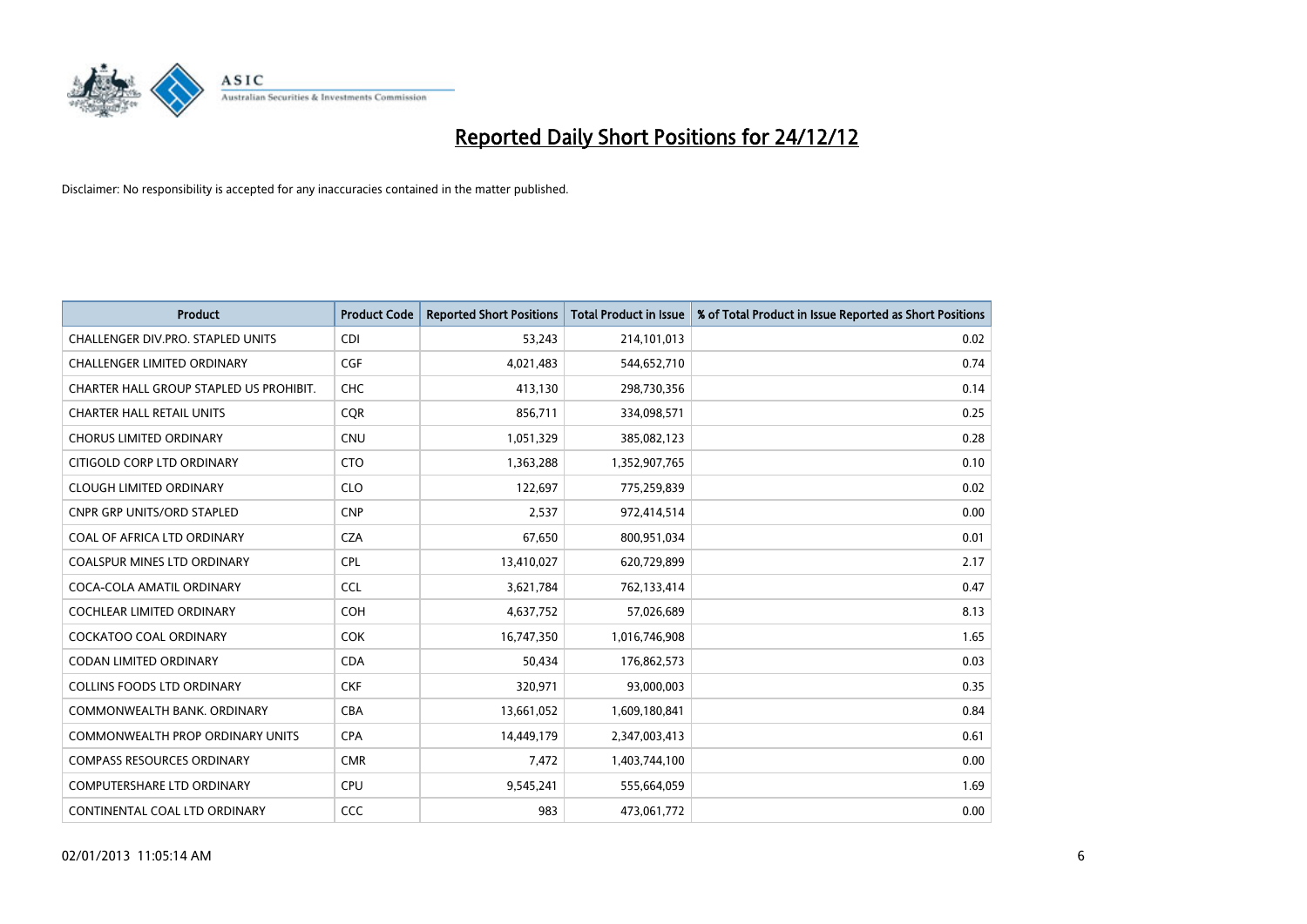

| <b>Product</b>                          | <b>Product Code</b> | <b>Reported Short Positions</b> | <b>Total Product in Issue</b> | % of Total Product in Issue Reported as Short Positions |
|-----------------------------------------|---------------------|---------------------------------|-------------------------------|---------------------------------------------------------|
| CHALLENGER DIV.PRO. STAPLED UNITS       | <b>CDI</b>          | 53,243                          | 214,101,013                   | 0.02                                                    |
| CHALLENGER LIMITED ORDINARY             | <b>CGF</b>          | 4,021,483                       | 544,652,710                   | 0.74                                                    |
| CHARTER HALL GROUP STAPLED US PROHIBIT. | <b>CHC</b>          | 413,130                         | 298,730,356                   | 0.14                                                    |
| <b>CHARTER HALL RETAIL UNITS</b>        | <b>COR</b>          | 856,711                         | 334,098,571                   | 0.25                                                    |
| <b>CHORUS LIMITED ORDINARY</b>          | <b>CNU</b>          | 1,051,329                       | 385,082,123                   | 0.28                                                    |
| CITIGOLD CORP LTD ORDINARY              | <b>CTO</b>          | 1,363,288                       | 1,352,907,765                 | 0.10                                                    |
| <b>CLOUGH LIMITED ORDINARY</b>          | <b>CLO</b>          | 122,697                         | 775,259,839                   | 0.02                                                    |
| <b>CNPR GRP UNITS/ORD STAPLED</b>       | <b>CNP</b>          | 2,537                           | 972,414,514                   | 0.00                                                    |
| <b>COAL OF AFRICA LTD ORDINARY</b>      | <b>CZA</b>          | 67,650                          | 800,951,034                   | 0.01                                                    |
| <b>COALSPUR MINES LTD ORDINARY</b>      | <b>CPL</b>          | 13,410,027                      | 620,729,899                   | 2.17                                                    |
| COCA-COLA AMATIL ORDINARY               | <b>CCL</b>          | 3,621,784                       | 762,133,414                   | 0.47                                                    |
| COCHLEAR LIMITED ORDINARY               | <b>COH</b>          | 4,637,752                       | 57,026,689                    | 8.13                                                    |
| <b>COCKATOO COAL ORDINARY</b>           | <b>COK</b>          | 16,747,350                      | 1,016,746,908                 | 1.65                                                    |
| <b>CODAN LIMITED ORDINARY</b>           | <b>CDA</b>          | 50,434                          | 176,862,573                   | 0.03                                                    |
| <b>COLLINS FOODS LTD ORDINARY</b>       | <b>CKF</b>          | 320,971                         | 93,000,003                    | 0.35                                                    |
| COMMONWEALTH BANK, ORDINARY             | <b>CBA</b>          | 13,661,052                      | 1,609,180,841                 | 0.84                                                    |
| <b>COMMONWEALTH PROP ORDINARY UNITS</b> | <b>CPA</b>          | 14,449,179                      | 2,347,003,413                 | 0.61                                                    |
| <b>COMPASS RESOURCES ORDINARY</b>       | <b>CMR</b>          | 7,472                           | 1,403,744,100                 | 0.00                                                    |
| COMPUTERSHARE LTD ORDINARY              | <b>CPU</b>          | 9,545,241                       | 555,664,059                   | 1.69                                                    |
| CONTINENTAL COAL LTD ORDINARY           | CCC                 | 983                             | 473,061,772                   | 0.00                                                    |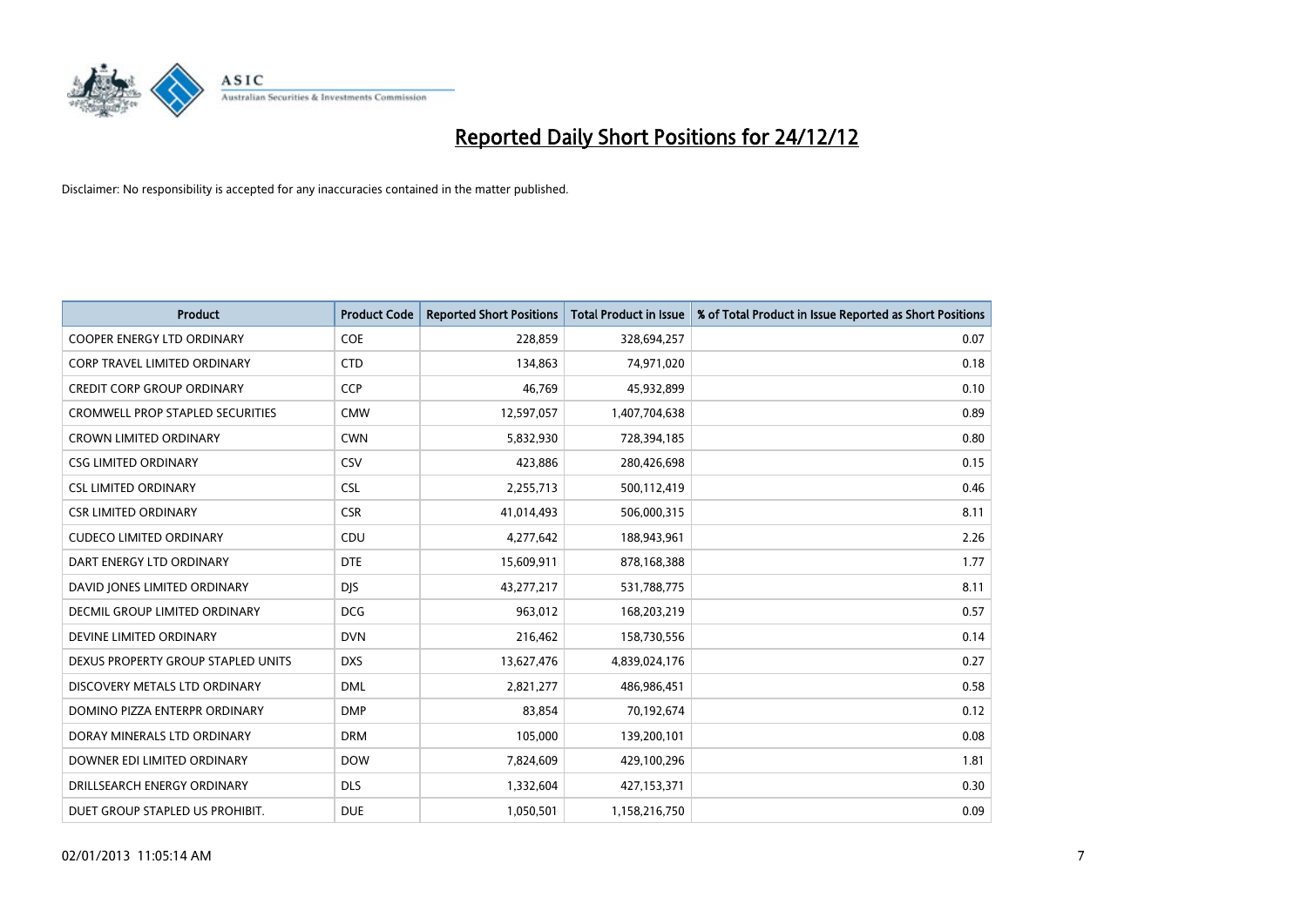

| <b>Product</b>                          | <b>Product Code</b> | <b>Reported Short Positions</b> | <b>Total Product in Issue</b> | % of Total Product in Issue Reported as Short Positions |
|-----------------------------------------|---------------------|---------------------------------|-------------------------------|---------------------------------------------------------|
| <b>COOPER ENERGY LTD ORDINARY</b>       | <b>COE</b>          | 228,859                         | 328,694,257                   | 0.07                                                    |
| CORP TRAVEL LIMITED ORDINARY            | <b>CTD</b>          | 134,863                         | 74,971,020                    | 0.18                                                    |
| <b>CREDIT CORP GROUP ORDINARY</b>       | <b>CCP</b>          | 46,769                          | 45,932,899                    | 0.10                                                    |
| <b>CROMWELL PROP STAPLED SECURITIES</b> | <b>CMW</b>          | 12,597,057                      | 1,407,704,638                 | 0.89                                                    |
| <b>CROWN LIMITED ORDINARY</b>           | <b>CWN</b>          | 5,832,930                       | 728,394,185                   | 0.80                                                    |
| <b>CSG LIMITED ORDINARY</b>             | CSV                 | 423,886                         | 280,426,698                   | 0.15                                                    |
| <b>CSL LIMITED ORDINARY</b>             | <b>CSL</b>          | 2,255,713                       | 500,112,419                   | 0.46                                                    |
| <b>CSR LIMITED ORDINARY</b>             | <b>CSR</b>          | 41,014,493                      | 506,000,315                   | 8.11                                                    |
| <b>CUDECO LIMITED ORDINARY</b>          | CDU                 | 4,277,642                       | 188,943,961                   | 2.26                                                    |
| DART ENERGY LTD ORDINARY                | <b>DTE</b>          | 15,609,911                      | 878,168,388                   | 1.77                                                    |
| DAVID JONES LIMITED ORDINARY            | <b>DJS</b>          | 43,277,217                      | 531,788,775                   | 8.11                                                    |
| <b>DECMIL GROUP LIMITED ORDINARY</b>    | <b>DCG</b>          | 963,012                         | 168,203,219                   | 0.57                                                    |
| DEVINE LIMITED ORDINARY                 | <b>DVN</b>          | 216,462                         | 158,730,556                   | 0.14                                                    |
| DEXUS PROPERTY GROUP STAPLED UNITS      | <b>DXS</b>          | 13,627,476                      | 4,839,024,176                 | 0.27                                                    |
| DISCOVERY METALS LTD ORDINARY           | <b>DML</b>          | 2,821,277                       | 486,986,451                   | 0.58                                                    |
| DOMINO PIZZA ENTERPR ORDINARY           | <b>DMP</b>          | 83,854                          | 70,192,674                    | 0.12                                                    |
| DORAY MINERALS LTD ORDINARY             | <b>DRM</b>          | 105,000                         | 139,200,101                   | 0.08                                                    |
| DOWNER EDI LIMITED ORDINARY             | <b>DOW</b>          | 7,824,609                       | 429,100,296                   | 1.81                                                    |
| DRILLSEARCH ENERGY ORDINARY             | <b>DLS</b>          | 1,332,604                       | 427,153,371                   | 0.30                                                    |
| DUET GROUP STAPLED US PROHIBIT.         | <b>DUE</b>          | 1,050,501                       | 1,158,216,750                 | 0.09                                                    |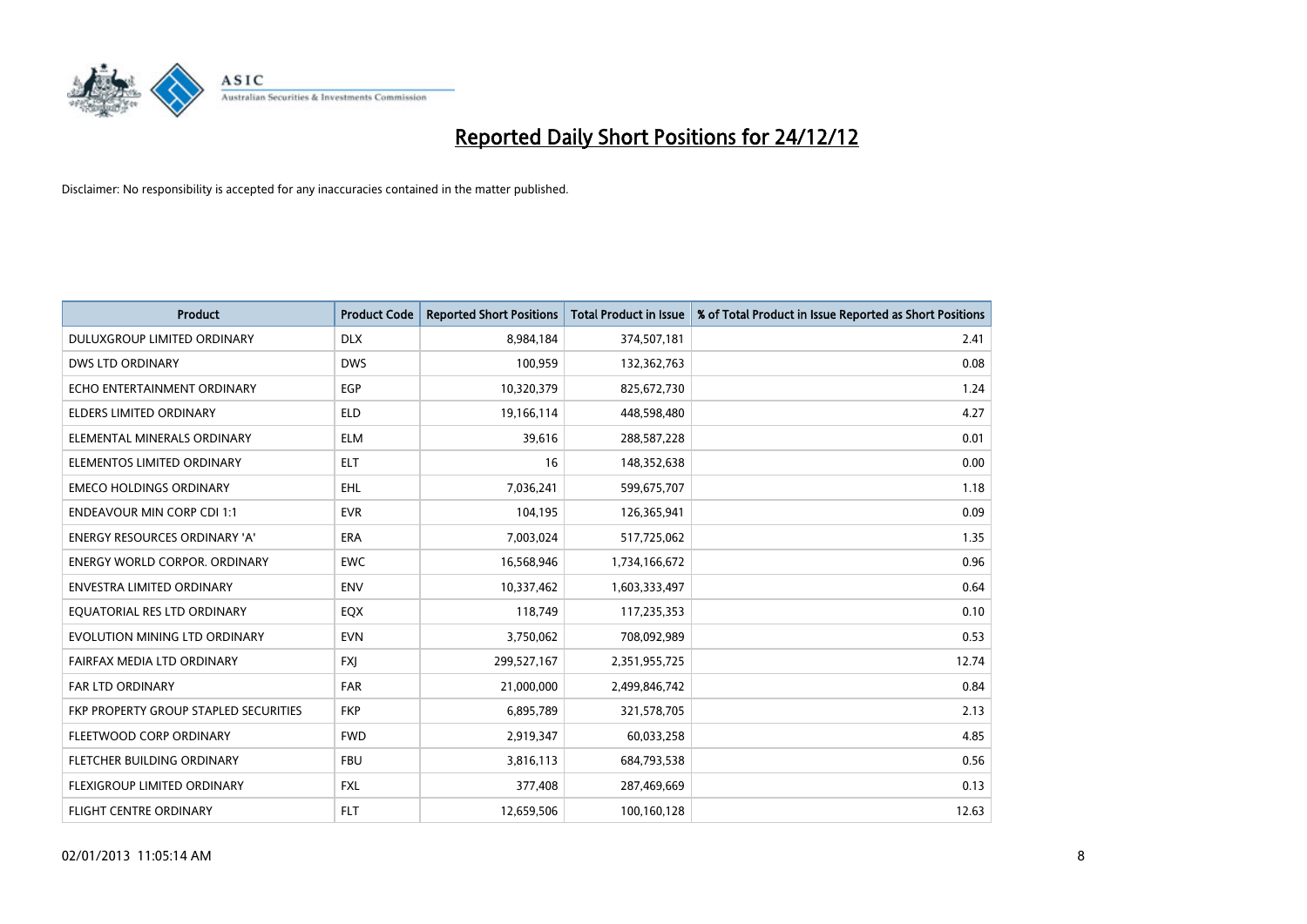

| <b>Product</b>                        | <b>Product Code</b> | <b>Reported Short Positions</b> | <b>Total Product in Issue</b> | % of Total Product in Issue Reported as Short Positions |
|---------------------------------------|---------------------|---------------------------------|-------------------------------|---------------------------------------------------------|
| DULUXGROUP LIMITED ORDINARY           | <b>DLX</b>          | 8,984,184                       | 374,507,181                   | 2.41                                                    |
| DWS LTD ORDINARY                      | <b>DWS</b>          | 100,959                         | 132,362,763                   | 0.08                                                    |
| ECHO ENTERTAINMENT ORDINARY           | EGP                 | 10,320,379                      | 825,672,730                   | 1.24                                                    |
| ELDERS LIMITED ORDINARY               | <b>ELD</b>          | 19,166,114                      | 448,598,480                   | 4.27                                                    |
| ELEMENTAL MINERALS ORDINARY           | <b>ELM</b>          | 39,616                          | 288,587,228                   | 0.01                                                    |
| ELEMENTOS LIMITED ORDINARY            | <b>ELT</b>          | 16                              | 148,352,638                   | 0.00                                                    |
| <b>EMECO HOLDINGS ORDINARY</b>        | <b>EHL</b>          | 7,036,241                       | 599,675,707                   | 1.18                                                    |
| <b>ENDEAVOUR MIN CORP CDI 1:1</b>     | <b>EVR</b>          | 104,195                         | 126,365,941                   | 0.09                                                    |
| <b>ENERGY RESOURCES ORDINARY 'A'</b>  | <b>ERA</b>          | 7,003,024                       | 517,725,062                   | 1.35                                                    |
| <b>ENERGY WORLD CORPOR, ORDINARY</b>  | <b>EWC</b>          | 16,568,946                      | 1,734,166,672                 | 0.96                                                    |
| ENVESTRA LIMITED ORDINARY             | <b>ENV</b>          | 10,337,462                      | 1,603,333,497                 | 0.64                                                    |
| EQUATORIAL RES LTD ORDINARY           | EQX                 | 118,749                         | 117,235,353                   | 0.10                                                    |
| EVOLUTION MINING LTD ORDINARY         | <b>EVN</b>          | 3,750,062                       | 708,092,989                   | 0.53                                                    |
| FAIRFAX MEDIA LTD ORDINARY            | <b>FXI</b>          | 299,527,167                     | 2,351,955,725                 | 12.74                                                   |
| <b>FAR LTD ORDINARY</b>               | <b>FAR</b>          | 21,000,000                      | 2,499,846,742                 | 0.84                                                    |
| FKP PROPERTY GROUP STAPLED SECURITIES | <b>FKP</b>          | 6,895,789                       | 321,578,705                   | 2.13                                                    |
| FLEETWOOD CORP ORDINARY               | <b>FWD</b>          | 2,919,347                       | 60,033,258                    | 4.85                                                    |
| FLETCHER BUILDING ORDINARY            | <b>FBU</b>          | 3,816,113                       | 684,793,538                   | 0.56                                                    |
| <b>FLEXIGROUP LIMITED ORDINARY</b>    | <b>FXL</b>          | 377,408                         | 287,469,669                   | 0.13                                                    |
| FLIGHT CENTRE ORDINARY                | <b>FLT</b>          | 12,659,506                      | 100,160,128                   | 12.63                                                   |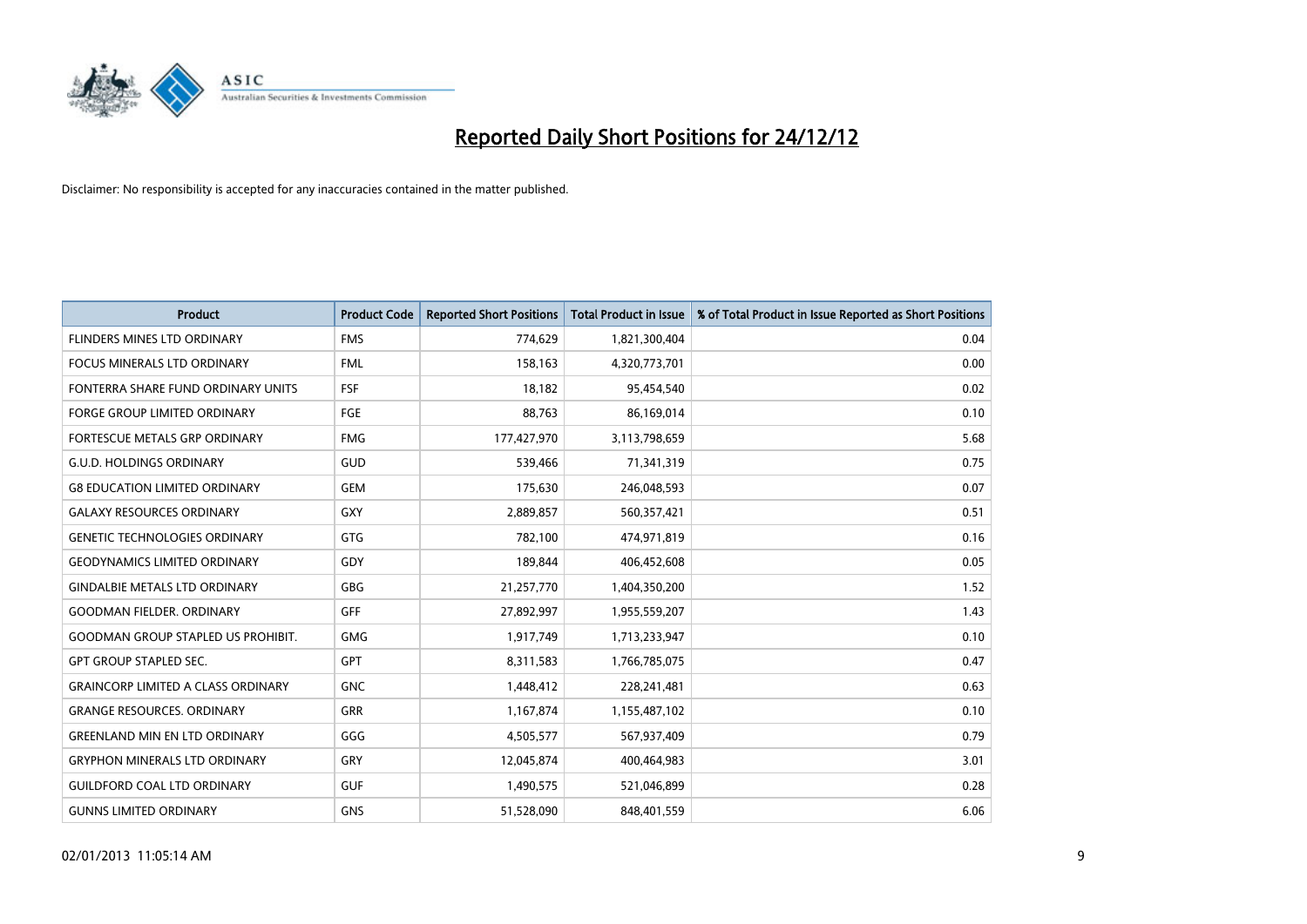

| <b>Product</b>                            | <b>Product Code</b> | <b>Reported Short Positions</b> | <b>Total Product in Issue</b> | % of Total Product in Issue Reported as Short Positions |
|-------------------------------------------|---------------------|---------------------------------|-------------------------------|---------------------------------------------------------|
| FLINDERS MINES LTD ORDINARY               | <b>FMS</b>          | 774,629                         | 1,821,300,404                 | 0.04                                                    |
| FOCUS MINERALS LTD ORDINARY               | <b>FML</b>          | 158,163                         | 4,320,773,701                 | 0.00                                                    |
| FONTERRA SHARE FUND ORDINARY UNITS        | <b>FSF</b>          | 18,182                          | 95,454,540                    | 0.02                                                    |
| FORGE GROUP LIMITED ORDINARY              | FGE                 | 88,763                          | 86,169,014                    | 0.10                                                    |
| FORTESCUE METALS GRP ORDINARY             | <b>FMG</b>          | 177,427,970                     | 3,113,798,659                 | 5.68                                                    |
| <b>G.U.D. HOLDINGS ORDINARY</b>           | GUD                 | 539,466                         | 71,341,319                    | 0.75                                                    |
| <b>G8 EDUCATION LIMITED ORDINARY</b>      | <b>GEM</b>          | 175,630                         | 246,048,593                   | 0.07                                                    |
| <b>GALAXY RESOURCES ORDINARY</b>          | GXY                 | 2,889,857                       | 560,357,421                   | 0.51                                                    |
| <b>GENETIC TECHNOLOGIES ORDINARY</b>      | <b>GTG</b>          | 782,100                         | 474,971,819                   | 0.16                                                    |
| <b>GEODYNAMICS LIMITED ORDINARY</b>       | GDY                 | 189,844                         | 406,452,608                   | 0.05                                                    |
| <b>GINDALBIE METALS LTD ORDINARY</b>      | <b>GBG</b>          | 21,257,770                      | 1,404,350,200                 | 1.52                                                    |
| <b>GOODMAN FIELDER. ORDINARY</b>          | <b>GFF</b>          | 27,892,997                      | 1,955,559,207                 | 1.43                                                    |
| <b>GOODMAN GROUP STAPLED US PROHIBIT.</b> | <b>GMG</b>          | 1,917,749                       | 1,713,233,947                 | 0.10                                                    |
| <b>GPT GROUP STAPLED SEC.</b>             | <b>GPT</b>          | 8,311,583                       | 1,766,785,075                 | 0.47                                                    |
| <b>GRAINCORP LIMITED A CLASS ORDINARY</b> | <b>GNC</b>          | 1,448,412                       | 228,241,481                   | 0.63                                                    |
| <b>GRANGE RESOURCES, ORDINARY</b>         | <b>GRR</b>          | 1,167,874                       | 1,155,487,102                 | 0.10                                                    |
| <b>GREENLAND MIN EN LTD ORDINARY</b>      | GGG                 | 4,505,577                       | 567,937,409                   | 0.79                                                    |
| <b>GRYPHON MINERALS LTD ORDINARY</b>      | GRY                 | 12,045,874                      | 400,464,983                   | 3.01                                                    |
| <b>GUILDFORD COAL LTD ORDINARY</b>        | <b>GUF</b>          | 1,490,575                       | 521,046,899                   | 0.28                                                    |
| <b>GUNNS LIMITED ORDINARY</b>             | <b>GNS</b>          | 51,528,090                      | 848,401,559                   | 6.06                                                    |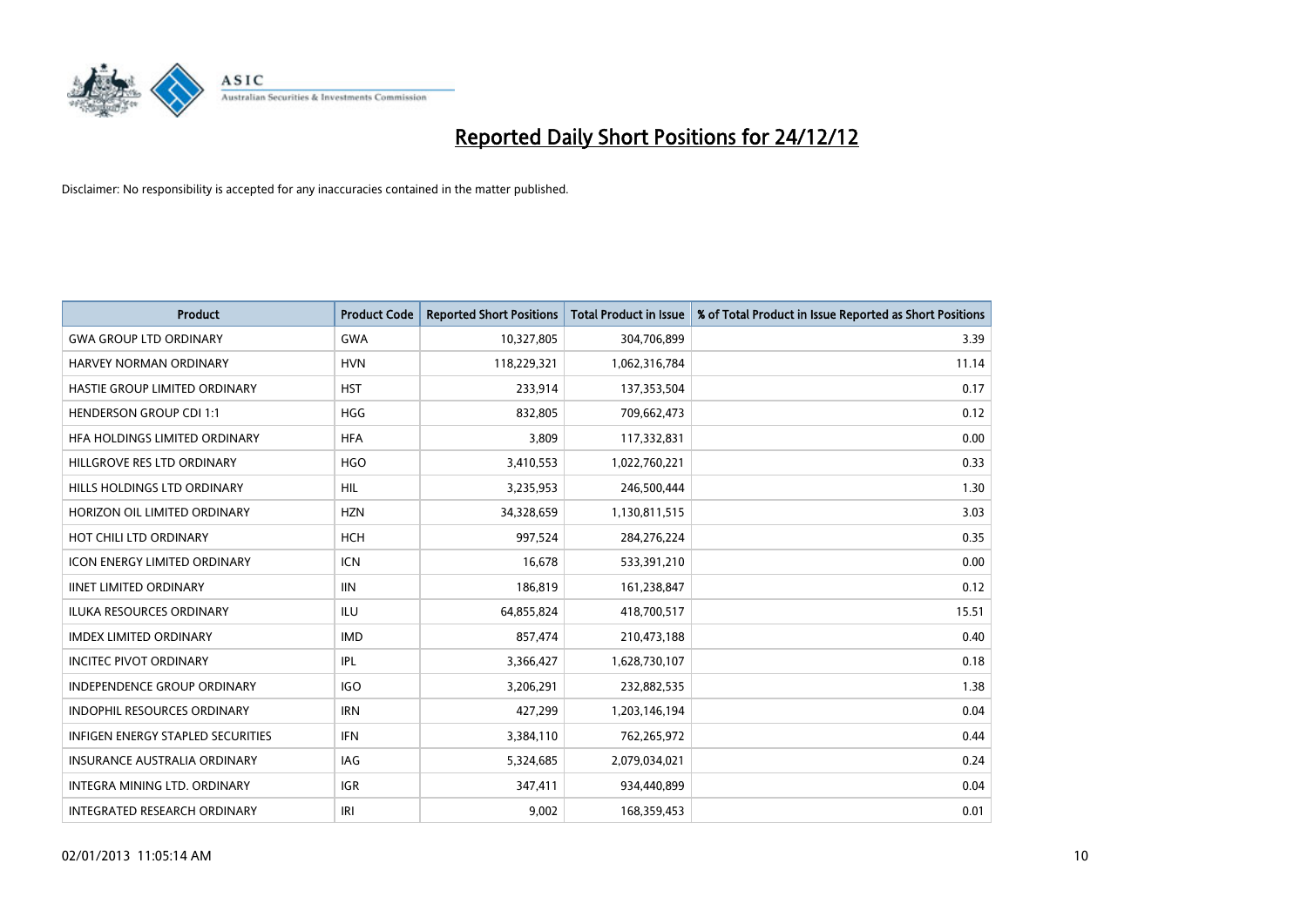

| <b>Product</b>                           | <b>Product Code</b> | <b>Reported Short Positions</b> | <b>Total Product in Issue</b> | % of Total Product in Issue Reported as Short Positions |
|------------------------------------------|---------------------|---------------------------------|-------------------------------|---------------------------------------------------------|
| <b>GWA GROUP LTD ORDINARY</b>            | <b>GWA</b>          | 10,327,805                      | 304,706,899                   | 3.39                                                    |
| <b>HARVEY NORMAN ORDINARY</b>            | <b>HVN</b>          | 118,229,321                     | 1,062,316,784                 | 11.14                                                   |
| HASTIE GROUP LIMITED ORDINARY            | <b>HST</b>          | 233,914                         | 137,353,504                   | 0.17                                                    |
| <b>HENDERSON GROUP CDI 1:1</b>           | <b>HGG</b>          | 832,805                         | 709,662,473                   | 0.12                                                    |
| HFA HOLDINGS LIMITED ORDINARY            | <b>HFA</b>          | 3.809                           | 117,332,831                   | 0.00                                                    |
| HILLGROVE RES LTD ORDINARY               | <b>HGO</b>          | 3,410,553                       | 1,022,760,221                 | 0.33                                                    |
| HILLS HOLDINGS LTD ORDINARY              | <b>HIL</b>          | 3,235,953                       | 246,500,444                   | 1.30                                                    |
| HORIZON OIL LIMITED ORDINARY             | <b>HZN</b>          | 34,328,659                      | 1,130,811,515                 | 3.03                                                    |
| HOT CHILI LTD ORDINARY                   | <b>HCH</b>          | 997,524                         | 284,276,224                   | 0.35                                                    |
| <b>ICON ENERGY LIMITED ORDINARY</b>      | <b>ICN</b>          | 16,678                          | 533,391,210                   | 0.00                                                    |
| <b>IINET LIMITED ORDINARY</b>            | <b>IIN</b>          | 186,819                         | 161,238,847                   | 0.12                                                    |
| <b>ILUKA RESOURCES ORDINARY</b>          | ILU                 | 64,855,824                      | 418,700,517                   | 15.51                                                   |
| <b>IMDEX LIMITED ORDINARY</b>            | <b>IMD</b>          | 857,474                         | 210,473,188                   | 0.40                                                    |
| <b>INCITEC PIVOT ORDINARY</b>            | IPL                 | 3,366,427                       | 1,628,730,107                 | 0.18                                                    |
| <b>INDEPENDENCE GROUP ORDINARY</b>       | <b>IGO</b>          | 3,206,291                       | 232,882,535                   | 1.38                                                    |
| <b>INDOPHIL RESOURCES ORDINARY</b>       | <b>IRN</b>          | 427,299                         | 1,203,146,194                 | 0.04                                                    |
| <b>INFIGEN ENERGY STAPLED SECURITIES</b> | <b>IFN</b>          | 3,384,110                       | 762,265,972                   | 0.44                                                    |
| INSURANCE AUSTRALIA ORDINARY             | IAG                 | 5,324,685                       | 2,079,034,021                 | 0.24                                                    |
| <b>INTEGRA MINING LTD, ORDINARY</b>      | <b>IGR</b>          | 347,411                         | 934,440,899                   | 0.04                                                    |
| <b>INTEGRATED RESEARCH ORDINARY</b>      | IRI                 | 9.002                           | 168,359,453                   | 0.01                                                    |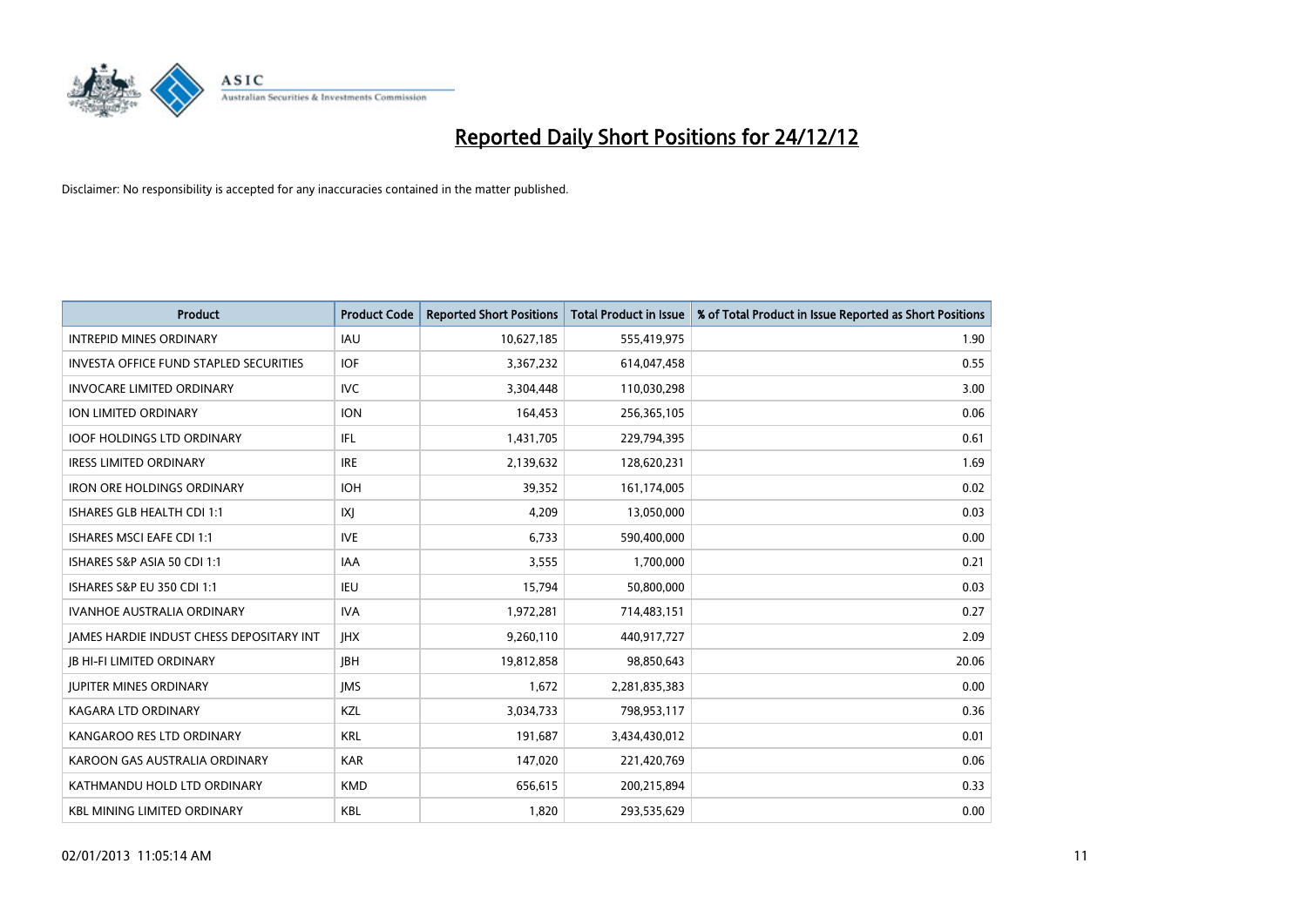

| <b>Product</b>                                  | <b>Product Code</b> | <b>Reported Short Positions</b> | <b>Total Product in Issue</b> | % of Total Product in Issue Reported as Short Positions |
|-------------------------------------------------|---------------------|---------------------------------|-------------------------------|---------------------------------------------------------|
| <b>INTREPID MINES ORDINARY</b>                  | <b>IAU</b>          | 10,627,185                      | 555,419,975                   | 1.90                                                    |
| INVESTA OFFICE FUND STAPLED SECURITIES          | <b>IOF</b>          | 3,367,232                       | 614,047,458                   | 0.55                                                    |
| <b>INVOCARE LIMITED ORDINARY</b>                | <b>IVC</b>          | 3,304,448                       | 110,030,298                   | 3.00                                                    |
| ION LIMITED ORDINARY                            | <b>ION</b>          | 164,453                         | 256,365,105                   | 0.06                                                    |
| <b>IOOF HOLDINGS LTD ORDINARY</b>               | IFL.                | 1,431,705                       | 229,794,395                   | 0.61                                                    |
| <b>IRESS LIMITED ORDINARY</b>                   | <b>IRE</b>          | 2,139,632                       | 128,620,231                   | 1.69                                                    |
| <b>IRON ORE HOLDINGS ORDINARY</b>               | <b>IOH</b>          | 39,352                          | 161,174,005                   | 0.02                                                    |
| ISHARES GLB HEALTH CDI 1:1                      | X                   | 4,209                           | 13,050,000                    | 0.03                                                    |
| <b>ISHARES MSCI EAFE CDI 1:1</b>                | <b>IVE</b>          | 6,733                           | 590,400,000                   | 0.00                                                    |
| ISHARES S&P ASIA 50 CDI 1:1                     | <b>IAA</b>          | 3,555                           | 1,700,000                     | 0.21                                                    |
| ISHARES S&P EU 350 CDI 1:1                      | IEU                 | 15,794                          | 50,800,000                    | 0.03                                                    |
| <b>IVANHOE AUSTRALIA ORDINARY</b>               | <b>IVA</b>          | 1,972,281                       | 714,483,151                   | 0.27                                                    |
| <b>JAMES HARDIE INDUST CHESS DEPOSITARY INT</b> | <b>IHX</b>          | 9,260,110                       | 440,917,727                   | 2.09                                                    |
| <b>JB HI-FI LIMITED ORDINARY</b>                | <b>IBH</b>          | 19,812,858                      | 98,850,643                    | 20.06                                                   |
| <b>JUPITER MINES ORDINARY</b>                   | <b>IMS</b>          | 1,672                           | 2,281,835,383                 | 0.00                                                    |
| KAGARA LTD ORDINARY                             | <b>KZL</b>          | 3,034,733                       | 798,953,117                   | 0.36                                                    |
| KANGAROO RES LTD ORDINARY                       | <b>KRL</b>          | 191,687                         | 3,434,430,012                 | 0.01                                                    |
| KAROON GAS AUSTRALIA ORDINARY                   | <b>KAR</b>          | 147,020                         | 221,420,769                   | 0.06                                                    |
| KATHMANDU HOLD LTD ORDINARY                     | <b>KMD</b>          | 656,615                         | 200,215,894                   | 0.33                                                    |
| <b>KBL MINING LIMITED ORDINARY</b>              | <b>KBL</b>          | 1,820                           | 293,535,629                   | 0.00                                                    |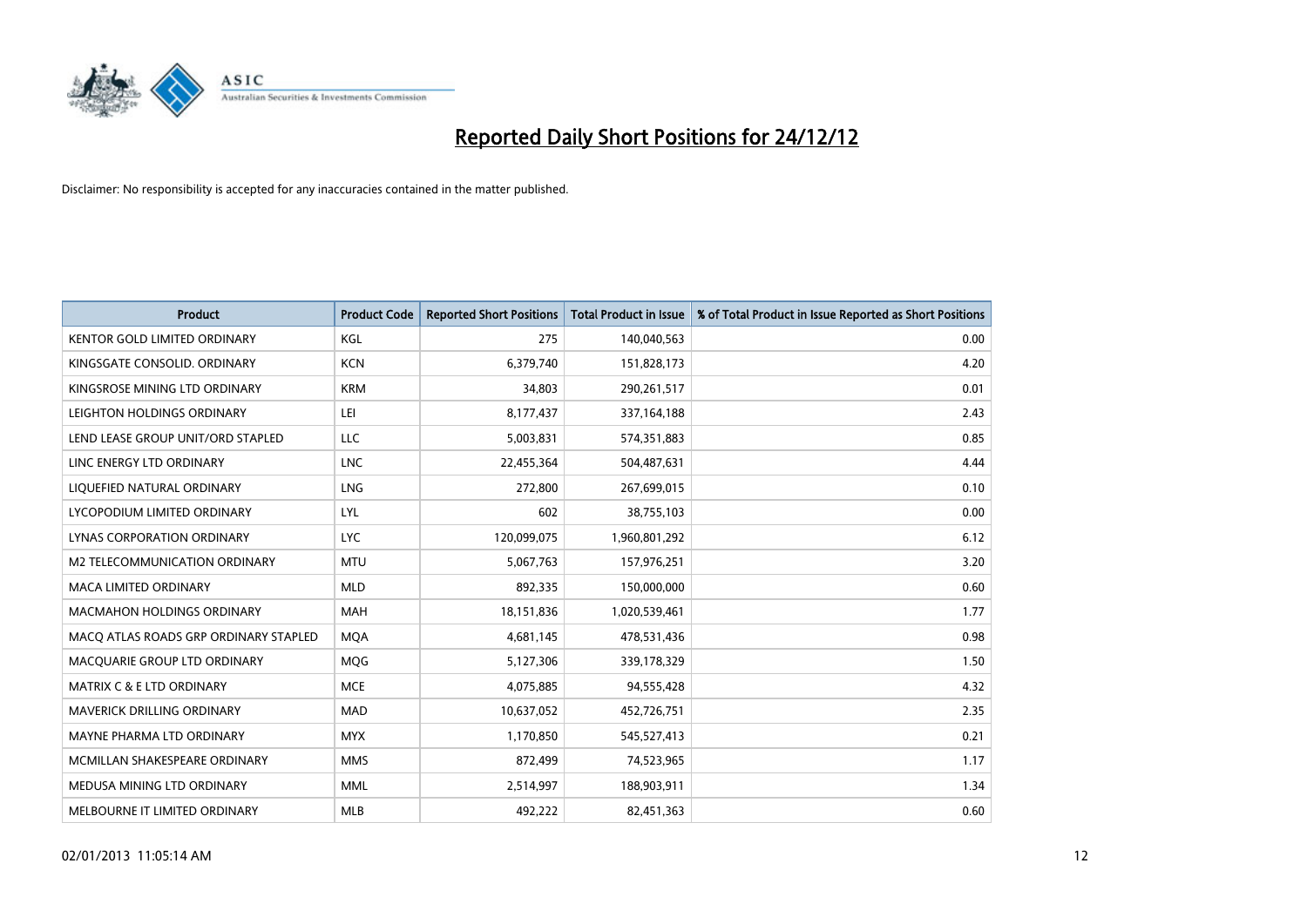

| <b>Product</b>                        | <b>Product Code</b> | <b>Reported Short Positions</b> | <b>Total Product in Issue</b> | % of Total Product in Issue Reported as Short Positions |
|---------------------------------------|---------------------|---------------------------------|-------------------------------|---------------------------------------------------------|
| <b>KENTOR GOLD LIMITED ORDINARY</b>   | KGL                 | 275                             | 140,040,563                   | 0.00                                                    |
| KINGSGATE CONSOLID. ORDINARY          | <b>KCN</b>          | 6,379,740                       | 151,828,173                   | 4.20                                                    |
| KINGSROSE MINING LTD ORDINARY         | <b>KRM</b>          | 34,803                          | 290,261,517                   | 0.01                                                    |
| LEIGHTON HOLDINGS ORDINARY            | LEI                 | 8,177,437                       | 337,164,188                   | 2.43                                                    |
| LEND LEASE GROUP UNIT/ORD STAPLED     | <b>LLC</b>          | 5,003,831                       | 574,351,883                   | 0.85                                                    |
| LINC ENERGY LTD ORDINARY              | <b>LNC</b>          | 22,455,364                      | 504,487,631                   | 4.44                                                    |
| LIQUEFIED NATURAL ORDINARY            | <b>LNG</b>          | 272,800                         | 267,699,015                   | 0.10                                                    |
| LYCOPODIUM LIMITED ORDINARY           | LYL                 | 602                             | 38,755,103                    | 0.00                                                    |
| <b>LYNAS CORPORATION ORDINARY</b>     | <b>LYC</b>          | 120,099,075                     | 1,960,801,292                 | 6.12                                                    |
| M2 TELECOMMUNICATION ORDINARY         | <b>MTU</b>          | 5,067,763                       | 157,976,251                   | 3.20                                                    |
| MACA LIMITED ORDINARY                 | <b>MLD</b>          | 892,335                         | 150,000,000                   | 0.60                                                    |
| <b>MACMAHON HOLDINGS ORDINARY</b>     | <b>MAH</b>          | 18,151,836                      | 1,020,539,461                 | 1.77                                                    |
| MACQ ATLAS ROADS GRP ORDINARY STAPLED | <b>MQA</b>          | 4,681,145                       | 478,531,436                   | 0.98                                                    |
| MACQUARIE GROUP LTD ORDINARY          | <b>MOG</b>          | 5,127,306                       | 339,178,329                   | 1.50                                                    |
| <b>MATRIX C &amp; E LTD ORDINARY</b>  | <b>MCE</b>          | 4,075,885                       | 94,555,428                    | 4.32                                                    |
| MAVERICK DRILLING ORDINARY            | <b>MAD</b>          | 10,637,052                      | 452,726,751                   | 2.35                                                    |
| MAYNE PHARMA LTD ORDINARY             | <b>MYX</b>          | 1,170,850                       | 545,527,413                   | 0.21                                                    |
| MCMILLAN SHAKESPEARE ORDINARY         | <b>MMS</b>          | 872,499                         | 74,523,965                    | 1.17                                                    |
| MEDUSA MINING LTD ORDINARY            | <b>MML</b>          | 2,514,997                       | 188,903,911                   | 1.34                                                    |
| MELBOURNE IT LIMITED ORDINARY         | <b>MLB</b>          | 492,222                         | 82,451,363                    | 0.60                                                    |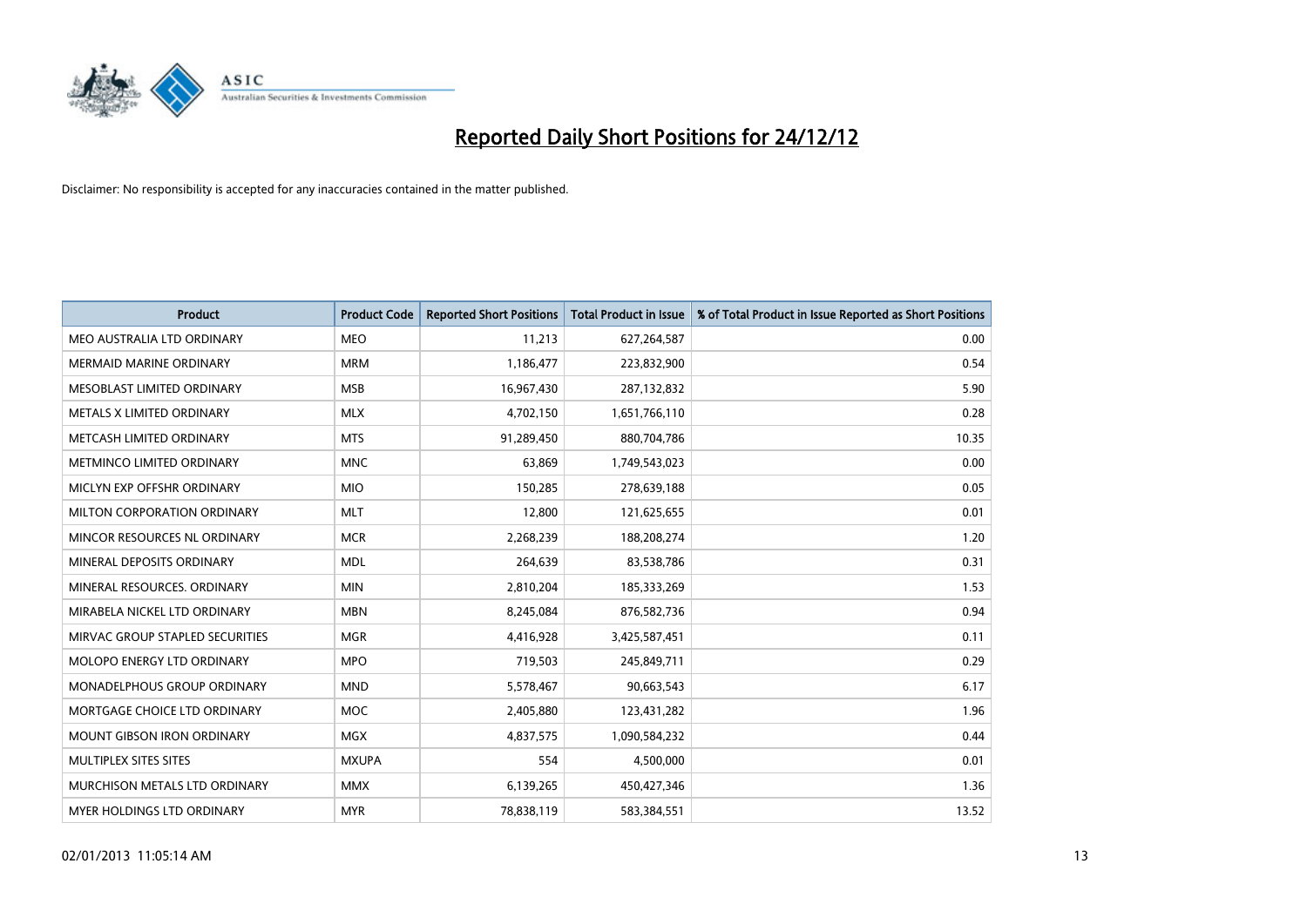

| <b>Product</b>                     | <b>Product Code</b> | <b>Reported Short Positions</b> | <b>Total Product in Issue</b> | % of Total Product in Issue Reported as Short Positions |
|------------------------------------|---------------------|---------------------------------|-------------------------------|---------------------------------------------------------|
| MEO AUSTRALIA LTD ORDINARY         | <b>MEO</b>          | 11,213                          | 627,264,587                   | 0.00                                                    |
| <b>MERMAID MARINE ORDINARY</b>     | <b>MRM</b>          | 1,186,477                       | 223,832,900                   | 0.54                                                    |
| <b>MESOBLAST LIMITED ORDINARY</b>  | <b>MSB</b>          | 16,967,430                      | 287,132,832                   | 5.90                                                    |
| METALS X LIMITED ORDINARY          | <b>MLX</b>          | 4,702,150                       | 1,651,766,110                 | 0.28                                                    |
| METCASH LIMITED ORDINARY           | <b>MTS</b>          | 91,289,450                      | 880,704,786                   | 10.35                                                   |
| METMINCO LIMITED ORDINARY          | <b>MNC</b>          | 63,869                          | 1,749,543,023                 | 0.00                                                    |
| MICLYN EXP OFFSHR ORDINARY         | <b>MIO</b>          | 150,285                         | 278,639,188                   | 0.05                                                    |
| MILTON CORPORATION ORDINARY        | <b>MLT</b>          | 12,800                          | 121,625,655                   | 0.01                                                    |
| MINCOR RESOURCES NL ORDINARY       | <b>MCR</b>          | 2,268,239                       | 188,208,274                   | 1.20                                                    |
| MINERAL DEPOSITS ORDINARY          | <b>MDL</b>          | 264,639                         | 83,538,786                    | 0.31                                                    |
| MINERAL RESOURCES. ORDINARY        | <b>MIN</b>          | 2,810,204                       | 185,333,269                   | 1.53                                                    |
| MIRABELA NICKEL LTD ORDINARY       | <b>MBN</b>          | 8,245,084                       | 876,582,736                   | 0.94                                                    |
| MIRVAC GROUP STAPLED SECURITIES    | <b>MGR</b>          | 4,416,928                       | 3,425,587,451                 | 0.11                                                    |
| MOLOPO ENERGY LTD ORDINARY         | <b>MPO</b>          | 719,503                         | 245,849,711                   | 0.29                                                    |
| <b>MONADELPHOUS GROUP ORDINARY</b> | <b>MND</b>          | 5,578,467                       | 90,663,543                    | 6.17                                                    |
| MORTGAGE CHOICE LTD ORDINARY       | <b>MOC</b>          | 2,405,880                       | 123,431,282                   | 1.96                                                    |
| MOUNT GIBSON IRON ORDINARY         | <b>MGX</b>          | 4,837,575                       | 1,090,584,232                 | 0.44                                                    |
| MULTIPLEX SITES SITES              | <b>MXUPA</b>        | 554                             | 4,500,000                     | 0.01                                                    |
| MURCHISON METALS LTD ORDINARY      | <b>MMX</b>          | 6,139,265                       | 450,427,346                   | 1.36                                                    |
| MYER HOLDINGS LTD ORDINARY         | <b>MYR</b>          | 78,838,119                      | 583,384,551                   | 13.52                                                   |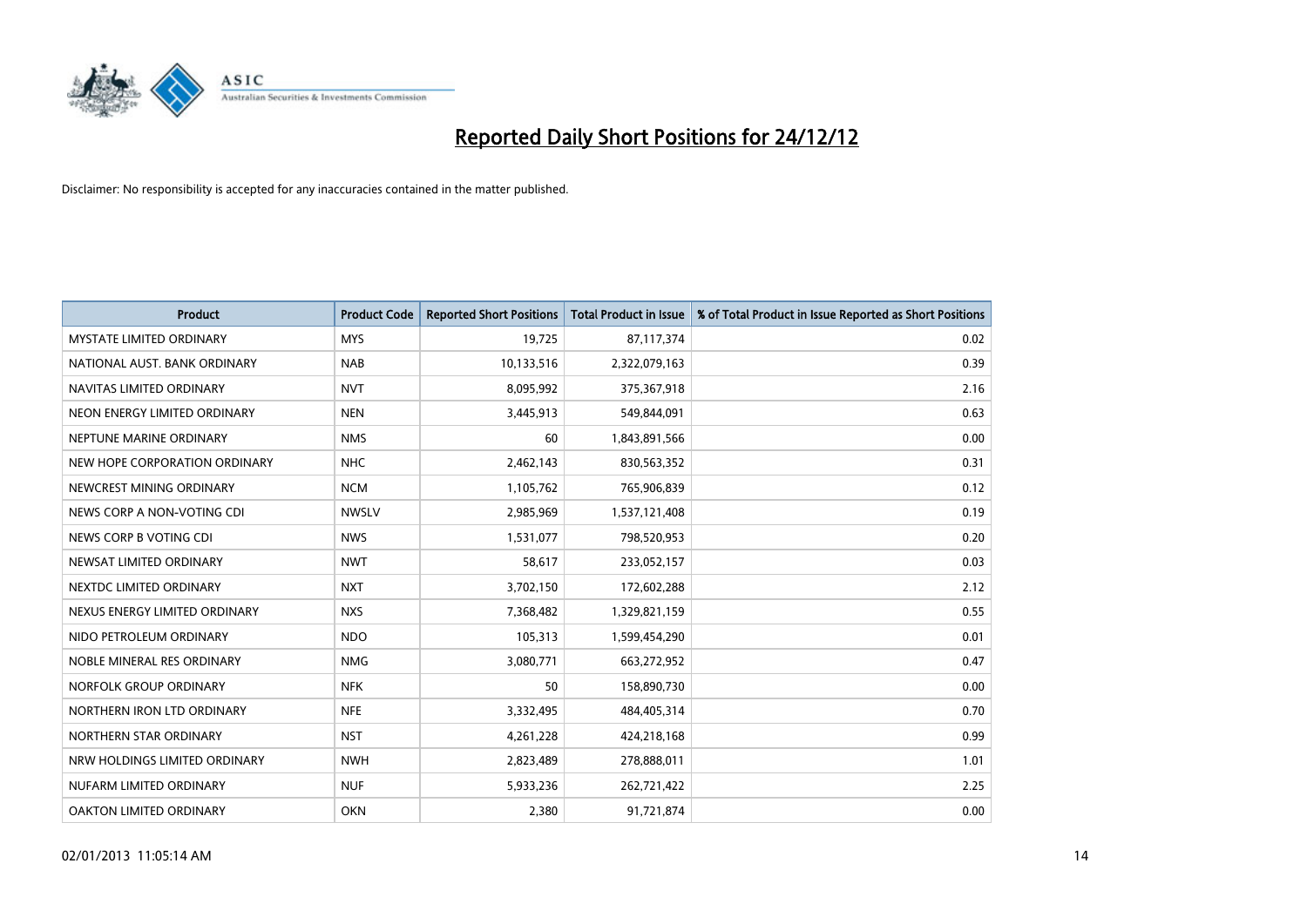

| <b>Product</b>                  | <b>Product Code</b> | <b>Reported Short Positions</b> | <b>Total Product in Issue</b> | % of Total Product in Issue Reported as Short Positions |
|---------------------------------|---------------------|---------------------------------|-------------------------------|---------------------------------------------------------|
| <b>MYSTATE LIMITED ORDINARY</b> | <b>MYS</b>          | 19,725                          | 87,117,374                    | 0.02                                                    |
| NATIONAL AUST. BANK ORDINARY    | <b>NAB</b>          | 10,133,516                      | 2,322,079,163                 | 0.39                                                    |
| NAVITAS LIMITED ORDINARY        | <b>NVT</b>          | 8,095,992                       | 375,367,918                   | 2.16                                                    |
| NEON ENERGY LIMITED ORDINARY    | <b>NEN</b>          | 3,445,913                       | 549,844,091                   | 0.63                                                    |
| NEPTUNE MARINE ORDINARY         | <b>NMS</b>          | 60                              | 1,843,891,566                 | 0.00                                                    |
| NEW HOPE CORPORATION ORDINARY   | <b>NHC</b>          | 2,462,143                       | 830,563,352                   | 0.31                                                    |
| NEWCREST MINING ORDINARY        | <b>NCM</b>          | 1,105,762                       | 765,906,839                   | 0.12                                                    |
| NEWS CORP A NON-VOTING CDI      | <b>NWSLV</b>        | 2,985,969                       | 1,537,121,408                 | 0.19                                                    |
| NEWS CORP B VOTING CDI          | <b>NWS</b>          | 1,531,077                       | 798,520,953                   | 0.20                                                    |
| NEWSAT LIMITED ORDINARY         | <b>NWT</b>          | 58,617                          | 233,052,157                   | 0.03                                                    |
| NEXTDC LIMITED ORDINARY         | <b>NXT</b>          | 3,702,150                       | 172,602,288                   | 2.12                                                    |
| NEXUS ENERGY LIMITED ORDINARY   | <b>NXS</b>          | 7,368,482                       | 1,329,821,159                 | 0.55                                                    |
| NIDO PETROLEUM ORDINARY         | <b>NDO</b>          | 105,313                         | 1,599,454,290                 | 0.01                                                    |
| NOBLE MINERAL RES ORDINARY      | <b>NMG</b>          | 3,080,771                       | 663,272,952                   | 0.47                                                    |
| NORFOLK GROUP ORDINARY          | <b>NFK</b>          | 50                              | 158,890,730                   | 0.00                                                    |
| NORTHERN IRON LTD ORDINARY      | <b>NFE</b>          | 3,332,495                       | 484,405,314                   | 0.70                                                    |
| NORTHERN STAR ORDINARY          | <b>NST</b>          | 4,261,228                       | 424,218,168                   | 0.99                                                    |
| NRW HOLDINGS LIMITED ORDINARY   | <b>NWH</b>          | 2,823,489                       | 278,888,011                   | 1.01                                                    |
| NUFARM LIMITED ORDINARY         | <b>NUF</b>          | 5,933,236                       | 262,721,422                   | 2.25                                                    |
| OAKTON LIMITED ORDINARY         | <b>OKN</b>          | 2,380                           | 91,721,874                    | 0.00                                                    |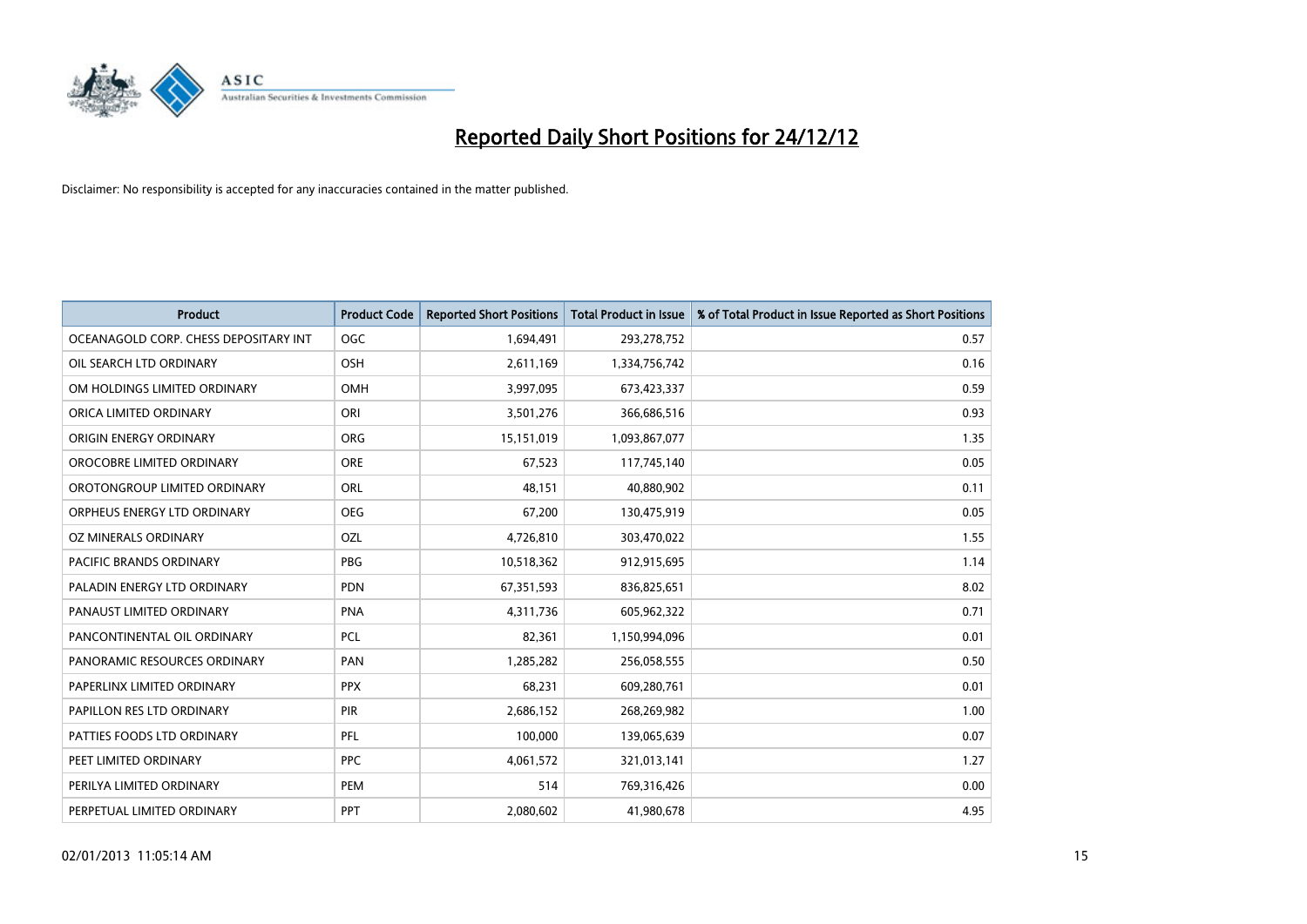

| <b>Product</b>                        | <b>Product Code</b> | <b>Reported Short Positions</b> | <b>Total Product in Issue</b> | % of Total Product in Issue Reported as Short Positions |
|---------------------------------------|---------------------|---------------------------------|-------------------------------|---------------------------------------------------------|
| OCEANAGOLD CORP. CHESS DEPOSITARY INT | <b>OGC</b>          | 1,694,491                       | 293,278,752                   | 0.57                                                    |
| OIL SEARCH LTD ORDINARY               | <b>OSH</b>          | 2,611,169                       | 1,334,756,742                 | 0.16                                                    |
| OM HOLDINGS LIMITED ORDINARY          | <b>OMH</b>          | 3,997,095                       | 673,423,337                   | 0.59                                                    |
| ORICA LIMITED ORDINARY                | ORI                 | 3,501,276                       | 366,686,516                   | 0.93                                                    |
| <b>ORIGIN ENERGY ORDINARY</b>         | <b>ORG</b>          | 15,151,019                      | 1,093,867,077                 | 1.35                                                    |
| OROCOBRE LIMITED ORDINARY             | <b>ORE</b>          | 67,523                          | 117,745,140                   | 0.05                                                    |
| OROTONGROUP LIMITED ORDINARY          | <b>ORL</b>          | 48,151                          | 40,880,902                    | 0.11                                                    |
| ORPHEUS ENERGY LTD ORDINARY           | <b>OEG</b>          | 67,200                          | 130,475,919                   | 0.05                                                    |
| OZ MINERALS ORDINARY                  | OZL                 | 4,726,810                       | 303,470,022                   | 1.55                                                    |
| <b>PACIFIC BRANDS ORDINARY</b>        | <b>PBG</b>          | 10,518,362                      | 912,915,695                   | 1.14                                                    |
| PALADIN ENERGY LTD ORDINARY           | <b>PDN</b>          | 67,351,593                      | 836,825,651                   | 8.02                                                    |
| PANAUST LIMITED ORDINARY              | <b>PNA</b>          | 4,311,736                       | 605,962,322                   | 0.71                                                    |
| PANCONTINENTAL OIL ORDINARY           | <b>PCL</b>          | 82,361                          | 1,150,994,096                 | 0.01                                                    |
| PANORAMIC RESOURCES ORDINARY          | PAN                 | 1,285,282                       | 256,058,555                   | 0.50                                                    |
| PAPERLINX LIMITED ORDINARY            | <b>PPX</b>          | 68,231                          | 609,280,761                   | 0.01                                                    |
| PAPILLON RES LTD ORDINARY             | PIR                 | 2,686,152                       | 268,269,982                   | 1.00                                                    |
| PATTIES FOODS LTD ORDINARY            | PFL                 | 100,000                         | 139,065,639                   | 0.07                                                    |
| PEET LIMITED ORDINARY                 | <b>PPC</b>          | 4,061,572                       | 321,013,141                   | 1.27                                                    |
| PERILYA LIMITED ORDINARY              | PEM                 | 514                             | 769,316,426                   | 0.00                                                    |
| PERPETUAL LIMITED ORDINARY            | <b>PPT</b>          | 2,080,602                       | 41,980,678                    | 4.95                                                    |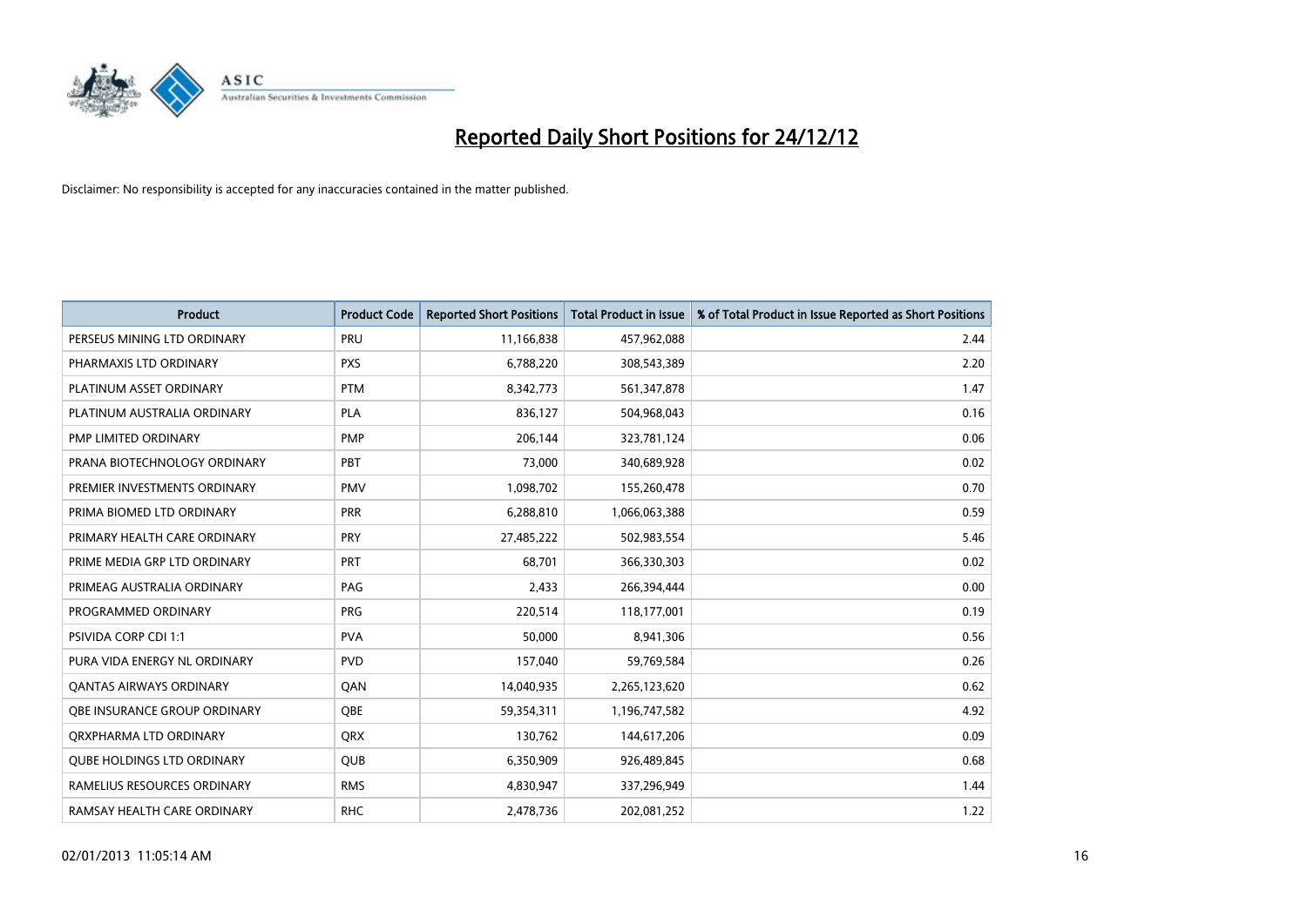

| <b>Product</b>                      | <b>Product Code</b> | <b>Reported Short Positions</b> | <b>Total Product in Issue</b> | % of Total Product in Issue Reported as Short Positions |
|-------------------------------------|---------------------|---------------------------------|-------------------------------|---------------------------------------------------------|
| PERSEUS MINING LTD ORDINARY         | PRU                 | 11,166,838                      | 457,962,088                   | 2.44                                                    |
| PHARMAXIS LTD ORDINARY              | <b>PXS</b>          | 6,788,220                       | 308,543,389                   | 2.20                                                    |
| PLATINUM ASSET ORDINARY             | <b>PTM</b>          | 8,342,773                       | 561,347,878                   | 1.47                                                    |
| PLATINUM AUSTRALIA ORDINARY         | <b>PLA</b>          | 836,127                         | 504,968,043                   | 0.16                                                    |
| PMP LIMITED ORDINARY                | <b>PMP</b>          | 206,144                         | 323,781,124                   | 0.06                                                    |
| PRANA BIOTECHNOLOGY ORDINARY        | PBT                 | 73,000                          | 340,689,928                   | 0.02                                                    |
| PREMIER INVESTMENTS ORDINARY        | <b>PMV</b>          | 1,098,702                       | 155,260,478                   | 0.70                                                    |
| PRIMA BIOMED LTD ORDINARY           | PRR                 | 6,288,810                       | 1,066,063,388                 | 0.59                                                    |
| PRIMARY HEALTH CARE ORDINARY        | <b>PRY</b>          | 27,485,222                      | 502,983,554                   | 5.46                                                    |
| PRIME MEDIA GRP LTD ORDINARY        | <b>PRT</b>          | 68,701                          | 366,330,303                   | 0.02                                                    |
| PRIMEAG AUSTRALIA ORDINARY          | PAG                 | 2,433                           | 266,394,444                   | 0.00                                                    |
| PROGRAMMED ORDINARY                 | <b>PRG</b>          | 220,514                         | 118,177,001                   | 0.19                                                    |
| PSIVIDA CORP CDI 1:1                | <b>PVA</b>          | 50,000                          | 8,941,306                     | 0.56                                                    |
| PURA VIDA ENERGY NL ORDINARY        | <b>PVD</b>          | 157,040                         | 59,769,584                    | 0.26                                                    |
| <b>QANTAS AIRWAYS ORDINARY</b>      | QAN                 | 14,040,935                      | 2,265,123,620                 | 0.62                                                    |
| <b>OBE INSURANCE GROUP ORDINARY</b> | <b>OBE</b>          | 59,354,311                      | 1,196,747,582                 | 4.92                                                    |
| ORXPHARMA LTD ORDINARY              | <b>QRX</b>          | 130,762                         | 144,617,206                   | 0.09                                                    |
| <b>QUBE HOLDINGS LTD ORDINARY</b>   | QUB                 | 6,350,909                       | 926,489,845                   | 0.68                                                    |
| RAMELIUS RESOURCES ORDINARY         | <b>RMS</b>          | 4,830,947                       | 337,296,949                   | 1.44                                                    |
| RAMSAY HEALTH CARE ORDINARY         | <b>RHC</b>          | 2,478,736                       | 202,081,252                   | 1.22                                                    |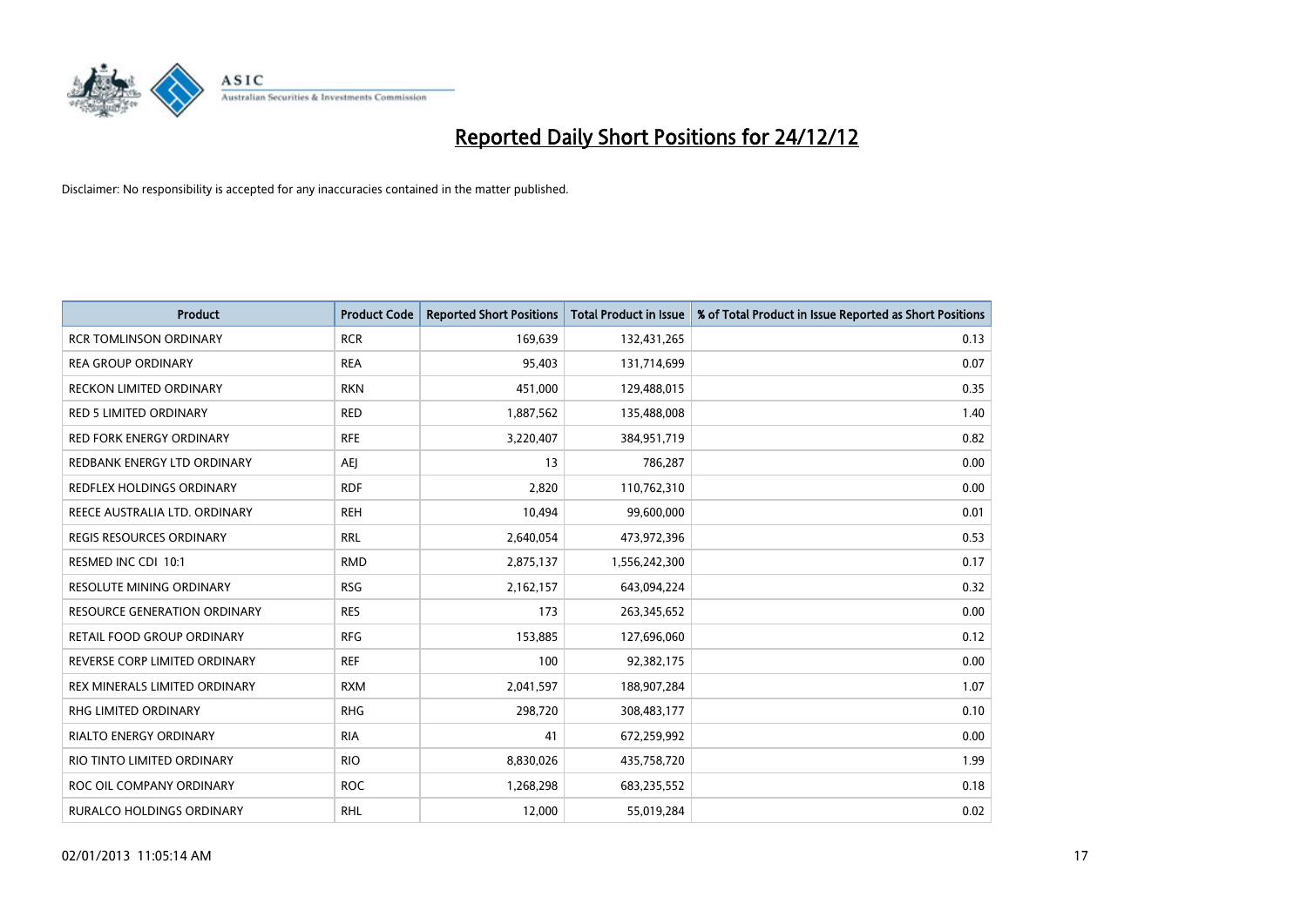

| <b>Product</b>                      | <b>Product Code</b> | <b>Reported Short Positions</b> | <b>Total Product in Issue</b> | % of Total Product in Issue Reported as Short Positions |
|-------------------------------------|---------------------|---------------------------------|-------------------------------|---------------------------------------------------------|
| <b>RCR TOMLINSON ORDINARY</b>       | <b>RCR</b>          | 169,639                         | 132,431,265                   | 0.13                                                    |
| <b>REA GROUP ORDINARY</b>           | <b>REA</b>          | 95,403                          | 131,714,699                   | 0.07                                                    |
| <b>RECKON LIMITED ORDINARY</b>      | <b>RKN</b>          | 451,000                         | 129,488,015                   | 0.35                                                    |
| RED 5 LIMITED ORDINARY              | <b>RED</b>          | 1,887,562                       | 135,488,008                   | 1.40                                                    |
| <b>RED FORK ENERGY ORDINARY</b>     | <b>RFE</b>          | 3,220,407                       | 384,951,719                   | 0.82                                                    |
| REDBANK ENERGY LTD ORDINARY         | AEI                 | 13                              | 786,287                       | 0.00                                                    |
| REDFLEX HOLDINGS ORDINARY           | <b>RDF</b>          | 2,820                           | 110,762,310                   | 0.00                                                    |
| REECE AUSTRALIA LTD. ORDINARY       | <b>REH</b>          | 10,494                          | 99,600,000                    | 0.01                                                    |
| <b>REGIS RESOURCES ORDINARY</b>     | <b>RRL</b>          | 2,640,054                       | 473,972,396                   | 0.53                                                    |
| RESMED INC CDI 10:1                 | <b>RMD</b>          | 2,875,137                       | 1,556,242,300                 | 0.17                                                    |
| RESOLUTE MINING ORDINARY            | <b>RSG</b>          | 2,162,157                       | 643,094,224                   | 0.32                                                    |
| <b>RESOURCE GENERATION ORDINARY</b> | <b>RES</b>          | 173                             | 263,345,652                   | 0.00                                                    |
| RETAIL FOOD GROUP ORDINARY          | <b>RFG</b>          | 153,885                         | 127,696,060                   | 0.12                                                    |
| REVERSE CORP LIMITED ORDINARY       | <b>REF</b>          | 100                             | 92,382,175                    | 0.00                                                    |
| REX MINERALS LIMITED ORDINARY       | <b>RXM</b>          | 2,041,597                       | 188,907,284                   | 1.07                                                    |
| RHG LIMITED ORDINARY                | <b>RHG</b>          | 298,720                         | 308,483,177                   | 0.10                                                    |
| RIALTO ENERGY ORDINARY              | <b>RIA</b>          | 41                              | 672,259,992                   | 0.00                                                    |
| RIO TINTO LIMITED ORDINARY          | <b>RIO</b>          | 8,830,026                       | 435,758,720                   | 1.99                                                    |
| ROC OIL COMPANY ORDINARY            | <b>ROC</b>          | 1,268,298                       | 683,235,552                   | 0.18                                                    |
| RURALCO HOLDINGS ORDINARY           | <b>RHL</b>          | 12,000                          | 55,019,284                    | 0.02                                                    |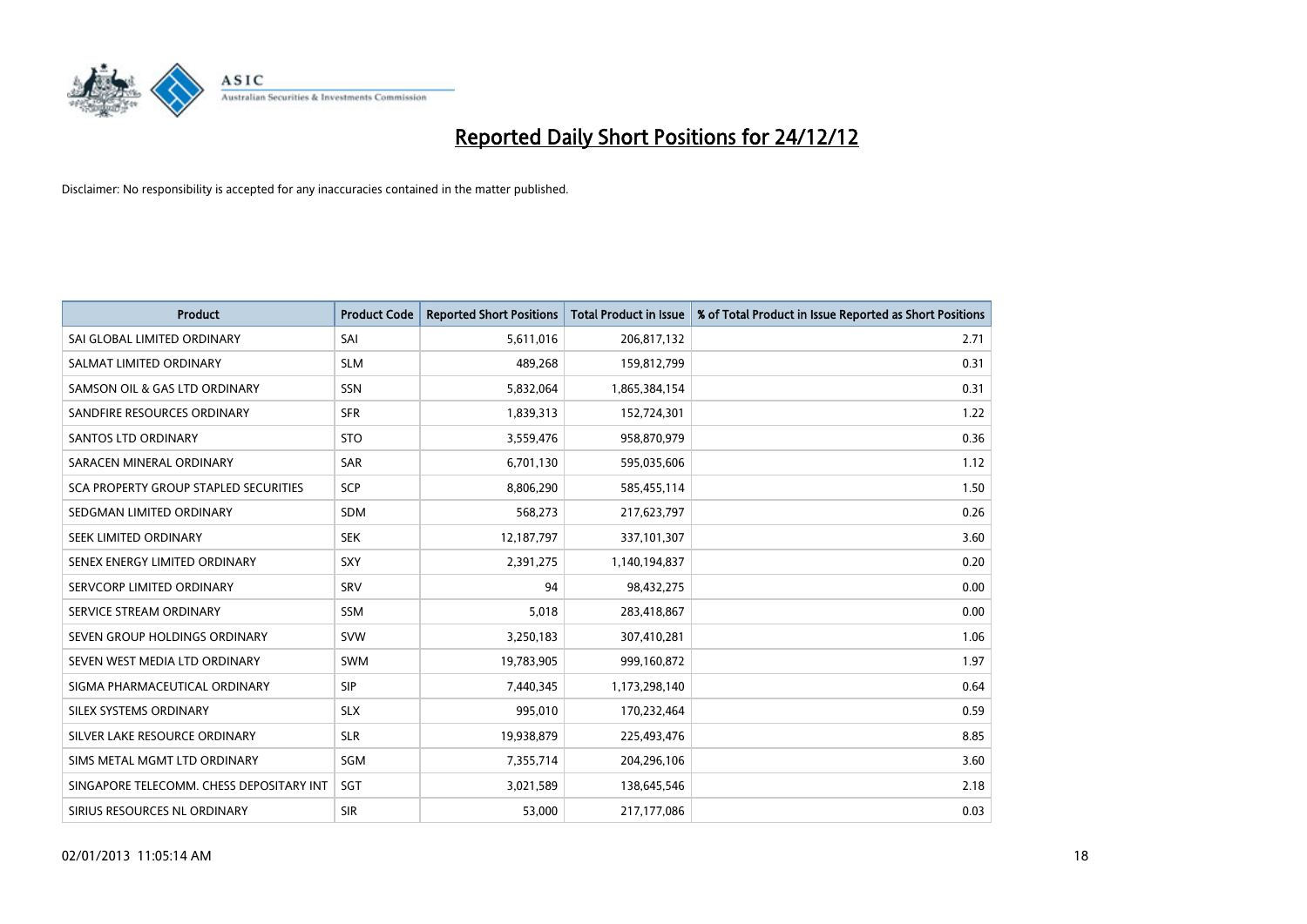

| <b>Product</b>                           | <b>Product Code</b> | <b>Reported Short Positions</b> | <b>Total Product in Issue</b> | % of Total Product in Issue Reported as Short Positions |
|------------------------------------------|---------------------|---------------------------------|-------------------------------|---------------------------------------------------------|
| SAI GLOBAL LIMITED ORDINARY              | SAI                 | 5,611,016                       | 206,817,132                   | 2.71                                                    |
| SALMAT LIMITED ORDINARY                  | <b>SLM</b>          | 489,268                         | 159,812,799                   | 0.31                                                    |
| SAMSON OIL & GAS LTD ORDINARY            | SSN                 | 5,832,064                       | 1,865,384,154                 | 0.31                                                    |
| SANDFIRE RESOURCES ORDINARY              | <b>SFR</b>          | 1,839,313                       | 152,724,301                   | 1.22                                                    |
| <b>SANTOS LTD ORDINARY</b>               | <b>STO</b>          | 3,559,476                       | 958,870,979                   | 0.36                                                    |
| SARACEN MINERAL ORDINARY                 | SAR                 | 6,701,130                       | 595,035,606                   | 1.12                                                    |
| SCA PROPERTY GROUP STAPLED SECURITIES    | <b>SCP</b>          | 8,806,290                       | 585,455,114                   | 1.50                                                    |
| SEDGMAN LIMITED ORDINARY                 | <b>SDM</b>          | 568,273                         | 217,623,797                   | 0.26                                                    |
| SEEK LIMITED ORDINARY                    | <b>SEK</b>          | 12,187,797                      | 337,101,307                   | 3.60                                                    |
| SENEX ENERGY LIMITED ORDINARY            | <b>SXY</b>          | 2,391,275                       | 1,140,194,837                 | 0.20                                                    |
| SERVCORP LIMITED ORDINARY                | SRV                 | 94                              | 98,432,275                    | 0.00                                                    |
| SERVICE STREAM ORDINARY                  | <b>SSM</b>          | 5,018                           | 283,418,867                   | 0.00                                                    |
| SEVEN GROUP HOLDINGS ORDINARY            | <b>SVW</b>          | 3,250,183                       | 307,410,281                   | 1.06                                                    |
| SEVEN WEST MEDIA LTD ORDINARY            | <b>SWM</b>          | 19,783,905                      | 999,160,872                   | 1.97                                                    |
| SIGMA PHARMACEUTICAL ORDINARY            | <b>SIP</b>          | 7,440,345                       | 1,173,298,140                 | 0.64                                                    |
| SILEX SYSTEMS ORDINARY                   | <b>SLX</b>          | 995,010                         | 170,232,464                   | 0.59                                                    |
| SILVER LAKE RESOURCE ORDINARY            | <b>SLR</b>          | 19,938,879                      | 225,493,476                   | 8.85                                                    |
| SIMS METAL MGMT LTD ORDINARY             | SGM                 | 7,355,714                       | 204,296,106                   | 3.60                                                    |
| SINGAPORE TELECOMM. CHESS DEPOSITARY INT | <b>SGT</b>          | 3,021,589                       | 138,645,546                   | 2.18                                                    |
| SIRIUS RESOURCES NL ORDINARY             | <b>SIR</b>          | 53,000                          | 217,177,086                   | 0.03                                                    |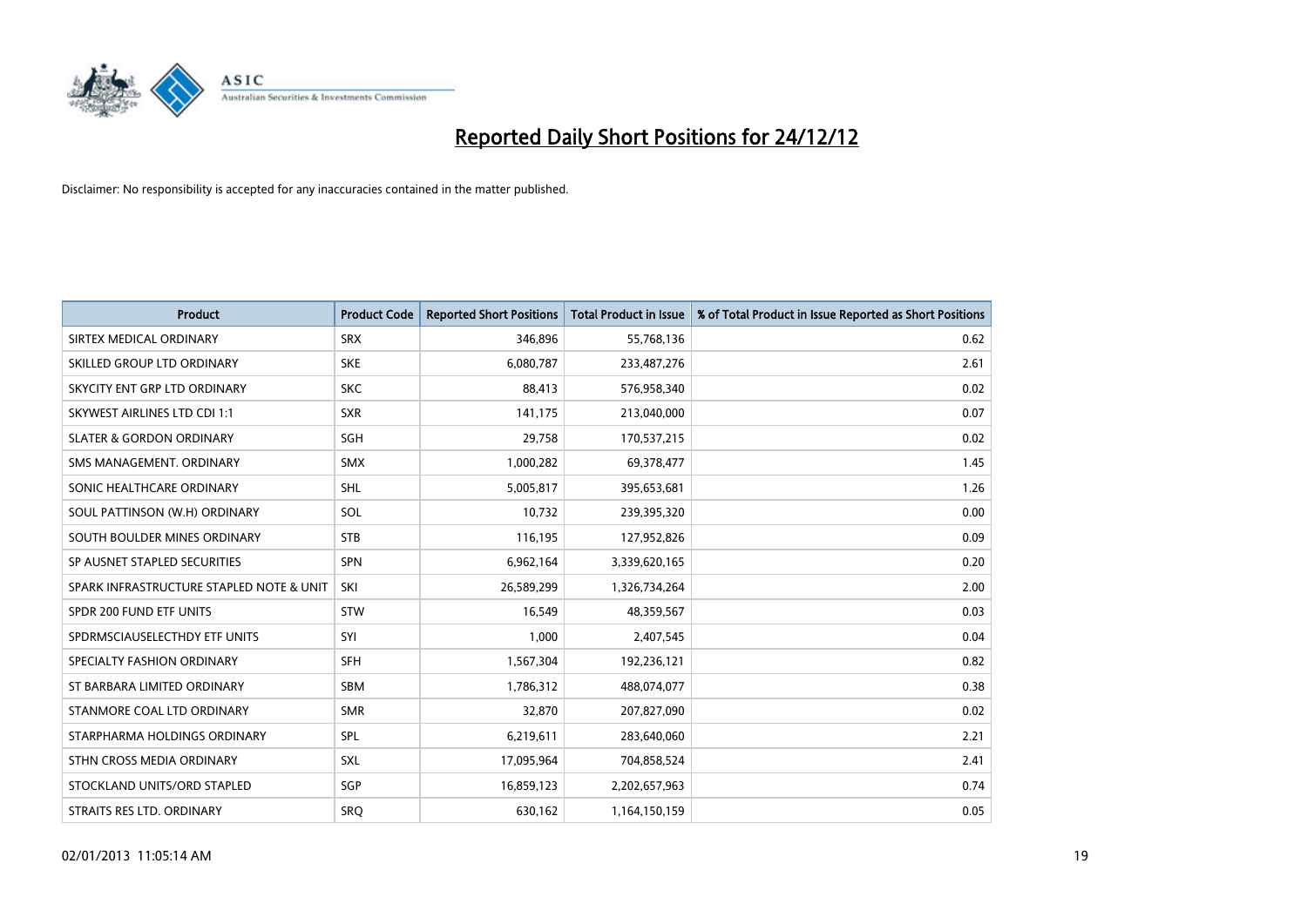

| <b>Product</b>                           | <b>Product Code</b> | <b>Reported Short Positions</b> | <b>Total Product in Issue</b> | % of Total Product in Issue Reported as Short Positions |
|------------------------------------------|---------------------|---------------------------------|-------------------------------|---------------------------------------------------------|
| SIRTEX MEDICAL ORDINARY                  | <b>SRX</b>          | 346,896                         | 55,768,136                    | 0.62                                                    |
| SKILLED GROUP LTD ORDINARY               | <b>SKE</b>          | 6,080,787                       | 233,487,276                   | 2.61                                                    |
| SKYCITY ENT GRP LTD ORDINARY             | <b>SKC</b>          | 88.413                          | 576,958,340                   | 0.02                                                    |
| SKYWEST AIRLINES LTD CDI 1:1             | <b>SXR</b>          | 141,175                         | 213,040,000                   | 0.07                                                    |
| <b>SLATER &amp; GORDON ORDINARY</b>      | <b>SGH</b>          | 29,758                          | 170,537,215                   | 0.02                                                    |
| SMS MANAGEMENT, ORDINARY                 | <b>SMX</b>          | 1,000,282                       | 69,378,477                    | 1.45                                                    |
| SONIC HEALTHCARE ORDINARY                | <b>SHL</b>          | 5,005,817                       | 395,653,681                   | 1.26                                                    |
| SOUL PATTINSON (W.H) ORDINARY            | SOL                 | 10,732                          | 239,395,320                   | 0.00                                                    |
| SOUTH BOULDER MINES ORDINARY             | <b>STB</b>          | 116,195                         | 127,952,826                   | 0.09                                                    |
| SP AUSNET STAPLED SECURITIES             | <b>SPN</b>          | 6,962,164                       | 3,339,620,165                 | 0.20                                                    |
| SPARK INFRASTRUCTURE STAPLED NOTE & UNIT | SKI                 | 26,589,299                      | 1,326,734,264                 | 2.00                                                    |
| SPDR 200 FUND ETF UNITS                  | <b>STW</b>          | 16,549                          | 48,359,567                    | 0.03                                                    |
| SPDRMSCIAUSELECTHDY ETF UNITS            | SYI                 | 1,000                           | 2,407,545                     | 0.04                                                    |
| SPECIALTY FASHION ORDINARY               | <b>SFH</b>          | 1,567,304                       | 192,236,121                   | 0.82                                                    |
| ST BARBARA LIMITED ORDINARY              | SBM                 | 1,786,312                       | 488,074,077                   | 0.38                                                    |
| STANMORE COAL LTD ORDINARY               | <b>SMR</b>          | 32,870                          | 207,827,090                   | 0.02                                                    |
| STARPHARMA HOLDINGS ORDINARY             | SPL                 | 6,219,611                       | 283,640,060                   | 2.21                                                    |
| STHN CROSS MEDIA ORDINARY                | <b>SXL</b>          | 17,095,964                      | 704,858,524                   | 2.41                                                    |
| STOCKLAND UNITS/ORD STAPLED              | SGP                 | 16,859,123                      | 2,202,657,963                 | 0.74                                                    |
| STRAITS RES LTD. ORDINARY                | <b>SRO</b>          | 630,162                         | 1,164,150,159                 | 0.05                                                    |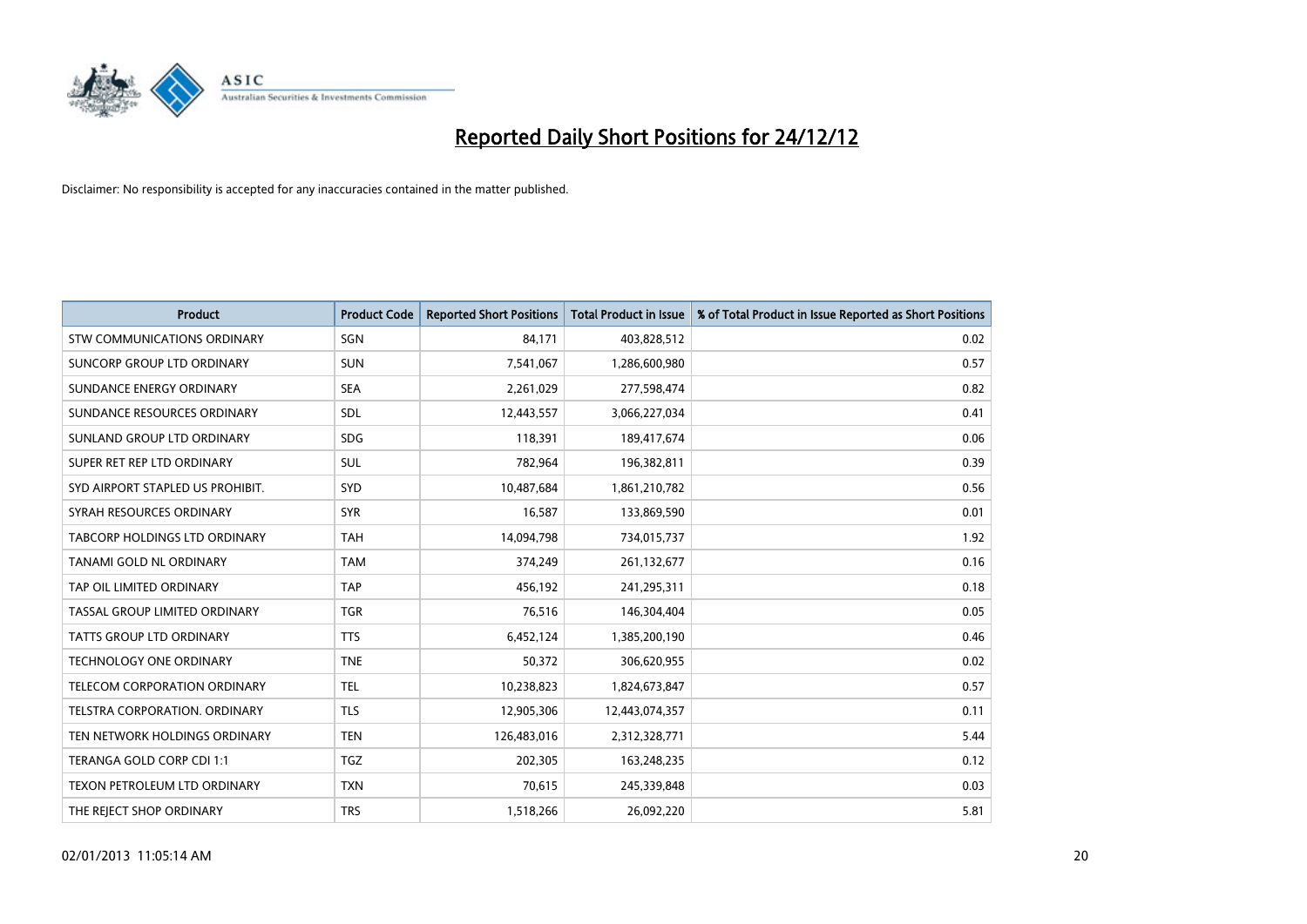

| <b>Product</b>                       | <b>Product Code</b> | <b>Reported Short Positions</b> | <b>Total Product in Issue</b> | % of Total Product in Issue Reported as Short Positions |
|--------------------------------------|---------------------|---------------------------------|-------------------------------|---------------------------------------------------------|
| <b>STW COMMUNICATIONS ORDINARY</b>   | SGN                 | 84,171                          | 403,828,512                   | 0.02                                                    |
| SUNCORP GROUP LTD ORDINARY           | <b>SUN</b>          | 7,541,067                       | 1,286,600,980                 | 0.57                                                    |
| SUNDANCE ENERGY ORDINARY             | <b>SEA</b>          | 2,261,029                       | 277,598,474                   | 0.82                                                    |
| SUNDANCE RESOURCES ORDINARY          | <b>SDL</b>          | 12,443,557                      | 3,066,227,034                 | 0.41                                                    |
| SUNLAND GROUP LTD ORDINARY           | <b>SDG</b>          | 118,391                         | 189,417,674                   | 0.06                                                    |
| SUPER RET REP LTD ORDINARY           | <b>SUL</b>          | 782,964                         | 196,382,811                   | 0.39                                                    |
| SYD AIRPORT STAPLED US PROHIBIT.     | <b>SYD</b>          | 10,487,684                      | 1,861,210,782                 | 0.56                                                    |
| SYRAH RESOURCES ORDINARY             | <b>SYR</b>          | 16,587                          | 133,869,590                   | 0.01                                                    |
| TABCORP HOLDINGS LTD ORDINARY        | <b>TAH</b>          | 14,094,798                      | 734,015,737                   | 1.92                                                    |
| <b>TANAMI GOLD NL ORDINARY</b>       | <b>TAM</b>          | 374,249                         | 261,132,677                   | 0.16                                                    |
| TAP OIL LIMITED ORDINARY             | <b>TAP</b>          | 456,192                         | 241,295,311                   | 0.18                                                    |
| <b>TASSAL GROUP LIMITED ORDINARY</b> | <b>TGR</b>          | 76,516                          | 146,304,404                   | 0.05                                                    |
| TATTS GROUP LTD ORDINARY             | <b>TTS</b>          | 6,452,124                       | 1,385,200,190                 | 0.46                                                    |
| <b>TECHNOLOGY ONE ORDINARY</b>       | <b>TNE</b>          | 50,372                          | 306,620,955                   | 0.02                                                    |
| <b>TELECOM CORPORATION ORDINARY</b>  | <b>TEL</b>          | 10,238,823                      | 1,824,673,847                 | 0.57                                                    |
| TELSTRA CORPORATION. ORDINARY        | <b>TLS</b>          | 12,905,306                      | 12,443,074,357                | 0.11                                                    |
| TEN NETWORK HOLDINGS ORDINARY        | <b>TEN</b>          | 126,483,016                     | 2,312,328,771                 | 5.44                                                    |
| TERANGA GOLD CORP CDI 1:1            | <b>TGZ</b>          | 202,305                         | 163,248,235                   | 0.12                                                    |
| TEXON PETROLEUM LTD ORDINARY         | <b>TXN</b>          | 70,615                          | 245,339,848                   | 0.03                                                    |
| THE REJECT SHOP ORDINARY             | <b>TRS</b>          | 1,518,266                       | 26,092,220                    | 5.81                                                    |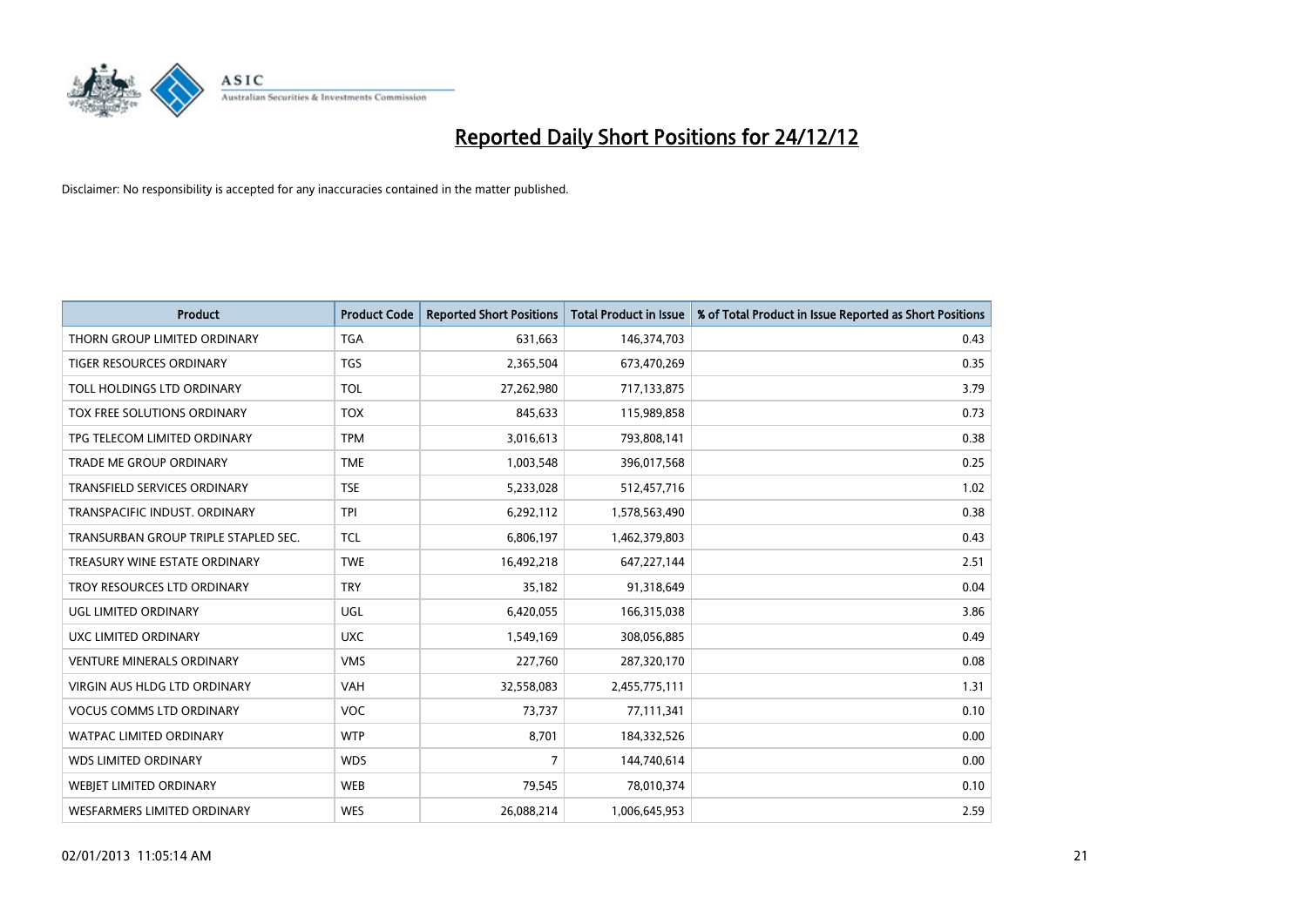

| <b>Product</b>                       | <b>Product Code</b> | <b>Reported Short Positions</b> | <b>Total Product in Issue</b> | % of Total Product in Issue Reported as Short Positions |
|--------------------------------------|---------------------|---------------------------------|-------------------------------|---------------------------------------------------------|
| THORN GROUP LIMITED ORDINARY         | <b>TGA</b>          | 631,663                         | 146,374,703                   | 0.43                                                    |
| TIGER RESOURCES ORDINARY             | <b>TGS</b>          | 2,365,504                       | 673,470,269                   | 0.35                                                    |
| TOLL HOLDINGS LTD ORDINARY           | <b>TOL</b>          | 27,262,980                      | 717,133,875                   | 3.79                                                    |
| TOX FREE SOLUTIONS ORDINARY          | <b>TOX</b>          | 845,633                         | 115,989,858                   | 0.73                                                    |
| TPG TELECOM LIMITED ORDINARY         | <b>TPM</b>          | 3,016,613                       | 793,808,141                   | 0.38                                                    |
| <b>TRADE ME GROUP ORDINARY</b>       | <b>TME</b>          | 1,003,548                       | 396,017,568                   | 0.25                                                    |
| TRANSFIELD SERVICES ORDINARY         | <b>TSE</b>          | 5,233,028                       | 512,457,716                   | 1.02                                                    |
| TRANSPACIFIC INDUST, ORDINARY        | <b>TPI</b>          | 6,292,112                       | 1,578,563,490                 | 0.38                                                    |
| TRANSURBAN GROUP TRIPLE STAPLED SEC. | <b>TCL</b>          | 6,806,197                       | 1,462,379,803                 | 0.43                                                    |
| TREASURY WINE ESTATE ORDINARY        | <b>TWE</b>          | 16,492,218                      | 647,227,144                   | 2.51                                                    |
| TROY RESOURCES LTD ORDINARY          | <b>TRY</b>          | 35,182                          | 91,318,649                    | 0.04                                                    |
| UGL LIMITED ORDINARY                 | UGL                 | 6,420,055                       | 166,315,038                   | 3.86                                                    |
| UXC LIMITED ORDINARY                 | <b>UXC</b>          | 1,549,169                       | 308,056,885                   | 0.49                                                    |
| <b>VENTURE MINERALS ORDINARY</b>     | <b>VMS</b>          | 227,760                         | 287,320,170                   | 0.08                                                    |
| <b>VIRGIN AUS HLDG LTD ORDINARY</b>  | <b>VAH</b>          | 32,558,083                      | 2,455,775,111                 | 1.31                                                    |
| <b>VOCUS COMMS LTD ORDINARY</b>      | <b>VOC</b>          | 73,737                          | 77,111,341                    | 0.10                                                    |
| <b>WATPAC LIMITED ORDINARY</b>       | <b>WTP</b>          | 8,701                           | 184,332,526                   | 0.00                                                    |
| <b>WDS LIMITED ORDINARY</b>          | <b>WDS</b>          | 7                               | 144,740,614                   | 0.00                                                    |
| <b>WEBJET LIMITED ORDINARY</b>       | <b>WEB</b>          | 79,545                          | 78,010,374                    | 0.10                                                    |
| WESFARMERS LIMITED ORDINARY          | <b>WES</b>          | 26,088,214                      | 1,006,645,953                 | 2.59                                                    |